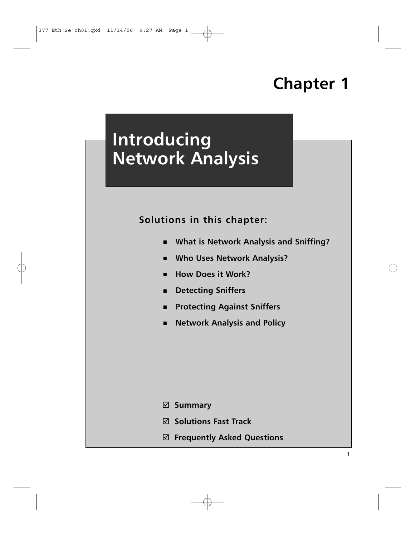# **Chapter 1**

# **Introducing Network Analysis**

### **Solutions in this chapter:**

- **What is Network Analysis and Sniffing?**
- **Who Uses Network Analysis?**
- **How Does it Work?**
- **Detecting Sniffers**
- **Protecting Against Sniffers**
- **Network Analysis and Policy**

- **Summary**
- **Solutions Fast Track**
- **Frequently Asked Questions**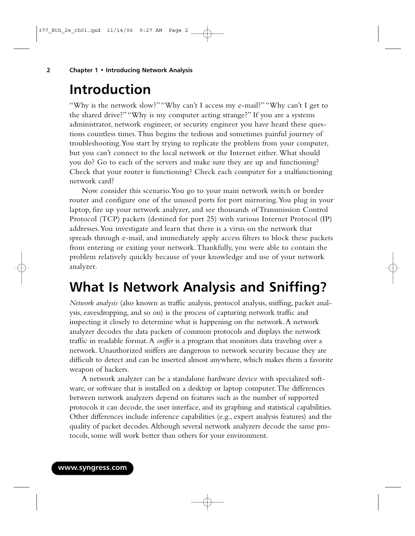## **Introduction**

"Why is the network slow?""Why can't I access my e-mail?""Why can't I get to the shared drive?""Why is my computer acting strange?" If you are a systems administrator, network engineer, or security engineer you have heard these questions countless times.Thus begins the tedious and sometimes painful journey of troubleshooting.You start by trying to replicate the problem from your computer, but you can't connect to the local network or the Internet either. What should you do? Go to each of the servers and make sure they are up and functioning? Check that your router is functioning? Check each computer for a malfunctioning network card?

Now consider this scenario.You go to your main network switch or border router and configure one of the unused ports for port mirroring.You plug in your laptop, fire up your network analyzer, and see thousands of Transmission Control Protocol (TCP) packets (destined for port 25) with various Internet Protocol (IP) addresses.You investigate and learn that there is a virus on the network that spreads through e-mail, and immediately apply access filters to block these packets from entering or exiting your network.Thankfully, you were able to contain the problem relatively quickly because of your knowledge and use of your network analyzer.

## **What Is Network Analysis and Sniffing?**

*Network analysis* (also known as traffic analysis, protocol analysis, sniffing, packet analysis, eavesdropping, and so on) is the process of capturing network traffic and inspecting it closely to determine what is happening on the network.A network analyzer decodes the data packets of common protocols and displays the network traffic in readable format.A *sniffer* is a program that monitors data traveling over a network. Unauthorized sniffers are dangerous to network security because they are difficult to detect and can be inserted almost anywhere, which makes them a favorite weapon of hackers.

A network analyzer can be a standalone hardware device with specialized software, or software that is installed on a desktop or laptop computer.The differences between network analyzers depend on features such as the number of supported protocols it can decode, the user interface, and its graphing and statistical capabilities. Other differences include inference capabilities (e.g., expert analysis features) and the quality of packet decodes.Although several network analyzers decode the same protocols, some will work better than others for your environment.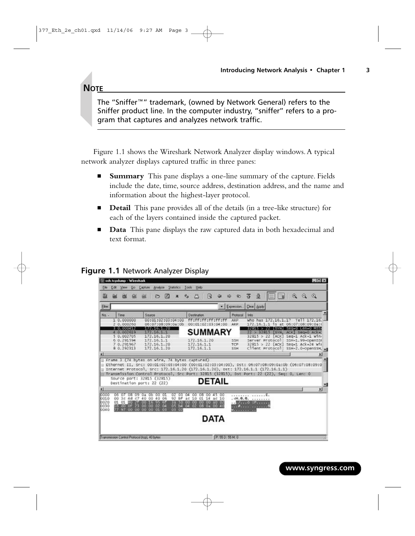#### **NOTE**

The "Sniffer™" trademark, (owned by Network General) refers to the Sniffer product line. In the computer industry, "sniffer" refers to a program that captures and analyzes network traffic.

Figure 1.1 shows the Wireshark Network Analyzer display windows.A typical network analyzer displays captured traffic in three panes:

- **Summary** This pane displays a one-line summary of the capture. Fields include the date, time, source address, destination address, and the name and information about the highest-layer protocol.
- **Detail** This pane provides all of the details (in a tree-like structure) for each of the layers contained inside the captured packet.
- **Data** This pane displays the raw captured data in both hexadecimal and text format.

#### **Figure 1.1** Network Analyzer Display

|                                      |      |      | ssh.tcpdung - Winsshark                                                                                      |                                                                                                                               |                                                                                           |         |                                        |                                                                                                                                                                                                                                                                                                                                                                                                                                                       |             |                  |                                                    |                        |             |                                     |                                              |             | $L \Box x$                                                                                                                                                                                            |
|--------------------------------------|------|------|--------------------------------------------------------------------------------------------------------------|-------------------------------------------------------------------------------------------------------------------------------|-------------------------------------------------------------------------------------------|---------|----------------------------------------|-------------------------------------------------------------------------------------------------------------------------------------------------------------------------------------------------------------------------------------------------------------------------------------------------------------------------------------------------------------------------------------------------------------------------------------------------------|-------------|------------------|----------------------------------------------------|------------------------|-------------|-------------------------------------|----------------------------------------------|-------------|-------------------------------------------------------------------------------------------------------------------------------------------------------------------------------------------------------|
| File                                 | Edit | View |                                                                                                              | <b>Go</b> Capture                                                                                                             | Analyze                                                                                   |         | Statutics                              | Tools Help                                                                                                                                                                                                                                                                                                                                                                                                                                            |             |                  |                                                    |                        |             |                                     |                                              |             |                                                                                                                                                                                                       |
|                                      |      |      |                                                                                                              |                                                                                                                               |                                                                                           | K       |                                        | a                                                                                                                                                                                                                                                                                                                                                                                                                                                     | 回           |                  | ¢,                                                 | 夺                      | ⊕           |                                     |                                              | $Q$ $Q$ $Q$ |                                                                                                                                                                                                       |
| Elbert                               |      |      |                                                                                                              |                                                                                                                               |                                                                                           |         |                                        |                                                                                                                                                                                                                                                                                                                                                                                                                                                       |             |                  | · Expression                                       |                        | Clear Apply |                                     |                                              |             |                                                                                                                                                                                                       |
| No.-                                 |      | Time | 1 0.000000<br>2 0.000260<br>3 0.000412<br>4 0.002619<br>5 0.002705<br>6 0.291594<br>7 0.291967<br>8 0.292313 |                                                                                                                               | Source<br>17271671720<br>16.37<br>172.16.1.20<br>172.16.1.1<br>172.16.1.20<br>172.16.1.20 |         | 00:01:02:03:04:00<br>06:07:08:09:0a:0b | Destination<br>ff:ff:ff:ff:ff:ff<br>00:01:02:03:04:00<br><b>SUMMARY</b><br>172.16.1.20<br>172.16.1.1<br>172.16.1.1<br>Frame 3 (74 bytes on wire, 74 bytes captured)<br>Ethernet II, Src: 00:01:02:03:04:00 (00:01:02:03:04:00), DSt: 06:07:08:09:04:0b (06:07:08:09:0<br>Internet Protocol, Src: 172.16.1.20 (172.16.1.20), Dst: 172.16.1.1 (172.16.1.1)<br>Transmission Control Protocol, Src Port: 32815 (32815), Dst Port: 22 (22), Seq: 0, Len: 0 |             |                  | Protocol<br>ARP<br>ARP<br>SSH<br>TCP<br><b>SSH</b> | Into<br>32815<br>32815 | 172.16.1.1  | Who has 172.16.1.17<br>2.22<br>> 22 | at.<br><b>ISYNI</b><br><b>FEYN.</b><br>[ACK] |             | Tell 172.16<br>06:07:08:09:0a:<br>Seg=0 Len=0 MSS<br>ACK SHOW ACKW<br>Sed-1 Ack-1 Win-<br>Server Protocol: SSM-1.99-OpenSSM<br>32815 > 22 [ACK] Seq=1 Ack=24 Wil<br>client Protocol: SSH-2.0-OpenSSH_ |
|                                      |      |      |                                                                                                              | Source port: 32815 (32815)<br>Destination port: 22 (22)                                                                       |                                                                                           |         |                                        |                                                                                                                                                                                                                                                                                                                                                                                                                                                       |             | <b>DETAIL</b>    |                                                    |                        |             |                                     |                                              |             |                                                                                                                                                                                                       |
|                                      |      |      |                                                                                                              |                                                                                                                               |                                                                                           |         |                                        |                                                                                                                                                                                                                                                                                                                                                                                                                                                       |             |                  |                                                    |                        |             |                                     |                                              |             | ×                                                                                                                                                                                                     |
| 0000<br>0010<br>0020<br>0030<br>0040 |      |      |                                                                                                              | 06 07 08 09 04 0b 00 01<br>00 3c 4d c7 40 00 40<br>01 01 80 2f 00 16 95 6f<br>16 d0 0f 23 00 00 02 04<br>77 97 00 00 00 00 01 |                                                                                           | 06<br>m | 02.03<br>92<br>bf<br>03 02             | 04 00 08 00 45 00<br>ac 10 01 14 ac 10<br>3a 50 00 00 00 00 a0 02<br>05 b4 04 02 08 04 00 40                                                                                                                                                                                                                                                                                                                                                          | <b>DATA</b> |                  | . E.<br>, 41.6.6.                                  | 0.1P                   | .           |                                     |                                              |             |                                                                                                                                                                                                       |
|                                      |      |      |                                                                                                              | Transmission Control Protocol (Icp), 40 bytes                                                                                 |                                                                                           |         |                                        |                                                                                                                                                                                                                                                                                                                                                                                                                                                       |             | P: 55 D: 55 M: 0 |                                                    |                        |             |                                     |                                              |             |                                                                                                                                                                                                       |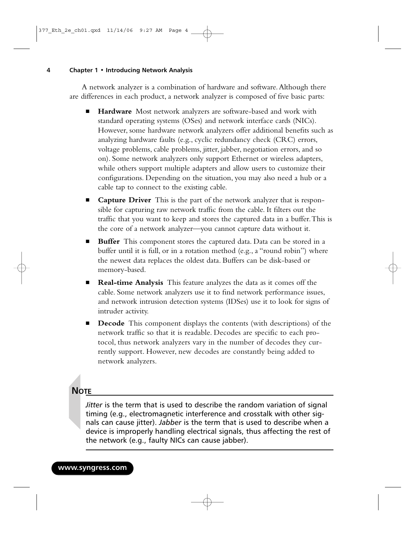#### **4 Chapter 1 • Introducing Network Analysis**

A network analyzer is a combination of hardware and software.Although there are differences in each product, a network analyzer is composed of five basic parts:

- **Hardware** Most network analyzers are software-based and work with standard operating systems (OSes) and network interface cards (NICs). However, some hardware network analyzers offer additional benefits such as analyzing hardware faults (e.g., cyclic redundancy check (CRC) errors, voltage problems, cable problems, jitter, jabber, negotiation errors, and so on). Some network analyzers only support Ethernet or wireless adapters, while others support multiple adapters and allow users to customize their configurations. Depending on the situation, you may also need a hub or a cable tap to connect to the existing cable.
- **Capture Driver** This is the part of the network analyzer that is responsible for capturing raw network traffic from the cable. It filters out the traffic that you want to keep and stores the captured data in a buffer.This is the core of a network analyzer—you cannot capture data without it.
- **Buffer** This component stores the captured data. Data can be stored in a buffer until it is full, or in a rotation method (e.g., a "round robin") where the newest data replaces the oldest data. Buffers can be disk-based or memory-based.
- **Real-time Analysis** This feature analyzes the data as it comes off the cable. Some network analyzers use it to find network performance issues, and network intrusion detection systems (IDSes) use it to look for signs of intruder activity.
- **Decode** This component displays the contents (with descriptions) of the network traffic so that it is readable. Decodes are specific to each protocol, thus network analyzers vary in the number of decodes they currently support. However, new decodes are constantly being added to network analyzers.

#### **NOTE**

*Jitter* is the term that is used to describe the random variation of signal timing (e.g., electromagnetic interference and crosstalk with other signals can cause jitter). *Jabber* is the term that is used to describe when a device is improperly handling electrical signals, thus affecting the rest of the network (e.g., faulty NICs can cause jabber).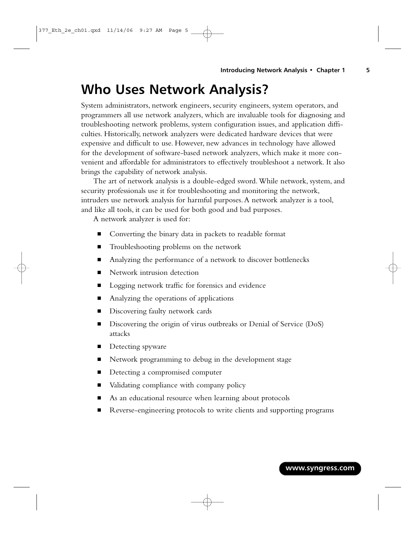## **Who Uses Network Analysis?**

System administrators, network engineers, security engineers, system operators, and programmers all use network analyzers, which are invaluable tools for diagnosing and troubleshooting network problems, system configuration issues, and application difficulties. Historically, network analyzers were dedicated hardware devices that were expensive and difficult to use. However, new advances in technology have allowed for the development of software-based network analyzers, which make it more convenient and affordable for administrators to effectively troubleshoot a network. It also brings the capability of network analysis.

The art of network analysis is a double-edged sword. While network, system, and security professionals use it for troubleshooting and monitoring the network, intruders use network analysis for harmful purposes.A network analyzer is a tool, and like all tools, it can be used for both good and bad purposes.

A network analyzer is used for:

- Converting the binary data in packets to readable format
- Troubleshooting problems on the network
- Analyzing the performance of a network to discover bottlenecks
- Network intrusion detection
- Logging network traffic for forensics and evidence
- Analyzing the operations of applications
- Discovering faulty network cards
- Discovering the origin of virus outbreaks or Denial of Service (DoS) attacks
- Detecting spyware
- Network programming to debug in the development stage
- Detecting a compromised computer
- Validating compliance with company policy
- As an educational resource when learning about protocols
- Reverse-engineering protocols to write clients and supporting programs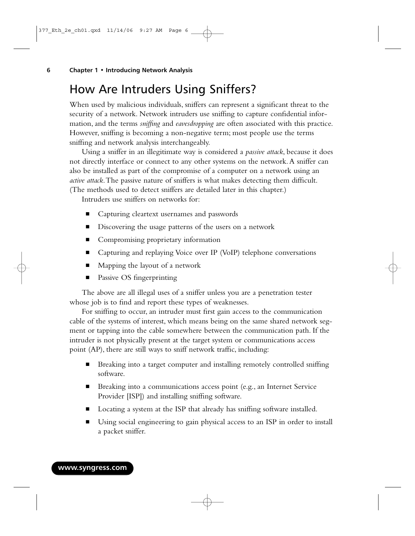## How Are Intruders Using Sniffers?

When used by malicious individuals, sniffers can represent a significant threat to the security of a network. Network intruders use sniffing to capture confidential information, and the terms *sniffing* and *eavesdropping* are often associated with this practice. However, sniffing is becoming a non-negative term; most people use the terms sniffing and network analysis interchangeably.

Using a sniffer in an illegitimate way is considered a *passive attack*, because it does not directly interface or connect to any other systems on the network.A sniffer can also be installed as part of the compromise of a computer on a network using an *active attack*.The passive nature of sniffers is what makes detecting them difficult. (The methods used to detect sniffers are detailed later in this chapter.)

Intruders use sniffers on networks for:

- Capturing cleartext usernames and passwords
- Discovering the usage patterns of the users on a network
- Compromising proprietary information
- Capturing and replaying Voice over IP (VoIP) telephone conversations
- Mapping the layout of a network
- Passive OS fingerprinting

The above are all illegal uses of a sniffer unless you are a penetration tester whose job is to find and report these types of weaknesses.

For sniffing to occur, an intruder must first gain access to the communication cable of the systems of interest, which means being on the same shared network segment or tapping into the cable somewhere between the communication path. If the intruder is not physically present at the target system or communications access point (AP), there are still ways to sniff network traffic, including:

- Breaking into a target computer and installing remotely controlled sniffing software.
- Breaking into a communications access point (e.g., an Internet Service Provider [ISP]) and installing sniffing software.
- Locating a system at the ISP that already has sniffing software installed.
- Using social engineering to gain physical access to an ISP in order to install a packet sniffer.

**www.syngress.com**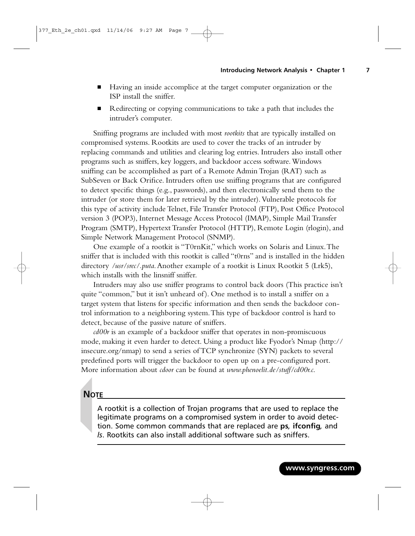- Having an inside accomplice at the target computer organization or the ISP install the sniffer.
- Redirecting or copying communications to take a path that includes the intruder's computer.

Sniffing programs are included with most *rootkits* that are typically installed on compromised systems. Rootkits are used to cover the tracks of an intruder by replacing commands and utilities and clearing log entries. Intruders also install other programs such as sniffers, key loggers, and backdoor access software. Windows sniffing can be accomplished as part of a Remote Admin Trojan (RAT) such as SubSeven or Back Orifice. Intruders often use sniffing programs that are configured to detect specific things (e.g., passwords), and then electronically send them to the intruder (or store them for later retrieval by the intruder). Vulnerable protocols for this type of activity include Telnet, File Transfer Protocol (FTP), Post Office Protocol version 3 (POP3), Internet Message Access Protocol (IMAP), Simple Mail Transfer Program (SMTP), Hypertext Transfer Protocol (HTTP), Remote Login (rlogin), and Simple Network Management Protocol (SNMP).

One example of a rootkit is "T0rnKit," which works on Solaris and Linux.The sniffer that is included with this rootkit is called "t0rns" and is installed in the hidden directory /usr/srec/.puta. Another example of a rootkit is Linux Rootkit 5 (Lrk5), which installs with the linsniff sniffer.

Intruders may also use sniffer programs to control back doors (This practice isn't quite "common," but it isn't unheard of ). One method is to install a sniffer on a target system that listens for specific information and then sends the backdoor control information to a neighboring system.This type of backdoor control is hard to detect, because of the passive nature of sniffers.

*cd00r* is an example of a backdoor sniffer that operates in non-promiscuous mode, making it even harder to detect. Using a product like Fyodor's Nmap (http:// insecure.org/nmap) to send a series of TCP synchronize (SYN) packets to several predefined ports will trigger the backdoor to open up on a pre-configured port. More information about *cdoor* can be found at *www.phenoelit.de/stuff/cd00r.c*.

#### **NOTE**

A rootkit is a collection of Trojan programs that are used to replace the legitimate programs on a compromised system in order to avoid detection. Some common commands that are replaced are **ps***,* **ifconfig***,* and *ls*. Rootkits can also install additional software such as sniffers.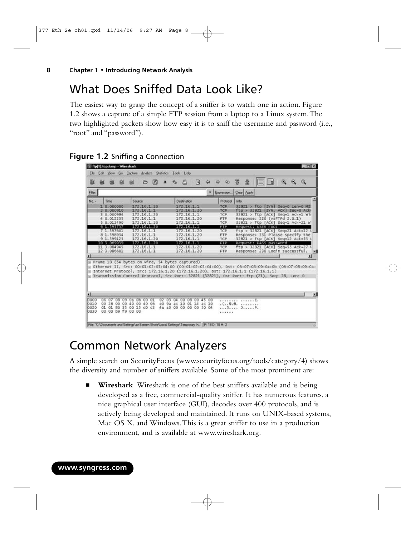## What Does Sniffed Data Look Like?

The easiest way to grasp the concept of a sniffer is to watch one in action. Figure 1.2 shows a capture of a simple FTP session from a laptop to a Linux system.The two highlighted packets show how easy it is to sniff the username and password (i.e., "root" and "password").

 $\Box$  $\times$ 

 $\alpha$ 

en=0 MS ea=0 Ack Ack=1 Wit  $0.1^{\circ}$ 

> the 55

 $7:08:09:0a$ en: 0

 $\bullet$ 

|                          |    |                                                         |                       |                       | <b>P</b>                   | ⊠  | ×        | $\sigma_{\rm d}$ |                          | α                                                                                                                                                                                                                                                                             |          | Q)                 | 雸      | 壶           |                    | $\mathbf{Q}$               |
|--------------------------|----|---------------------------------------------------------|-----------------------|-----------------------|----------------------------|----|----------|------------------|--------------------------|-------------------------------------------------------------------------------------------------------------------------------------------------------------------------------------------------------------------------------------------------------------------------------|----------|--------------------|--------|-------------|--------------------|----------------------------|
| Filter:                  |    |                                                         |                       |                       |                            |    |          |                  |                          |                                                                                                                                                                                                                                                                               | ۰        | Expression         |        | Cloar Apply |                    |                            |
| No. -                    |    | Time                                                    |                       | Source                |                            |    |          |                  | <b>Destination</b>       |                                                                                                                                                                                                                                                                               |          | Protocol           | Trulo. |             |                    |                            |
|                          |    | 1 0.000000                                              |                       |                       | 172, 16, 1, 20             |    |          |                  | 172, 16, 1, 1            |                                                                                                                                                                                                                                                                               |          | <b>TCP</b>         |        |             |                    | 32821 > ftp [SYN] Seg=0    |
|                          |    | 2 0.000910                                              |                       |                       | 172.16.1.1                 |    |          |                  |                          | 172.16.1.20                                                                                                                                                                                                                                                                   |          | <b>TCP</b>         |        |             |                    | ftp > 32821 [SYN, ACK]     |
|                          |    | 3 0.000984                                              |                       |                       | 172.16.1.20                |    |          |                  | 172.16.1.1               |                                                                                                                                                                                                                                                                               |          | TCP.               |        |             |                    | $32821$ > ftp [ACK] Seq=1  |
|                          |    | 4 0.012235                                              |                       |                       | 172.16.1.1                 |    |          |                  |                          | 172.16.1.20                                                                                                                                                                                                                                                                   |          | FTP.               |        |             |                    | Response: 220 (vsFTPd 2.   |
|                          |    | 5 0.012490<br>6 1.595757                                |                       |                       | 172.16.1.20<br>172.16.1.20 |    |          |                  | 172.16.1.1<br>172.16.141 |                                                                                                                                                                                                                                                                               |          | TCP.<br><b>FTP</b> |        |             | Request: USER root | $32821$ > ftp [ACK] Seq-1  |
|                          |    | 7 1.597601                                              |                       |                       | 172.16.1.1                 |    |          |                  |                          | 172.16.1.20                                                                                                                                                                                                                                                                   |          | TCP                |        |             |                    | $ftp > 32821$ [ACK] Seg=21 |
|                          |    | 8 1.598934                                              |                       |                       | 172.16.1.1                 |    |          |                  |                          | 172.16.1.20                                                                                                                                                                                                                                                                   |          | <b>FTP</b>         |        |             |                    | Response: 331 Please spr   |
|                          |    | 9 1.599125                                              |                       |                       | 172.16.1.20                |    |          |                  | 172.16.1.1               |                                                                                                                                                                                                                                                                               |          | TCP.               |        |             |                    | 32821 > ftp [ACK] Seq=12   |
|                          |    | 10 3.069939                                             |                       |                       | 172.16.1.20                |    |          |                  | 1724164141               |                                                                                                                                                                                                                                                                               |          | <b>FTP</b>         |        |             |                    | Request: PASS password     |
|                          |    | 11 3.084945                                             |                       |                       | 172.16.1.1                 |    |          |                  |                          | 172.16.1.20                                                                                                                                                                                                                                                                   |          | TCP                |        |             |                    | $ftp > 32821$ [ACK] 5eq=5! |
|                          |    | 12 3.086601                                             |                       |                       | 172.16.1.1                 |    |          |                  |                          | 172.16.1.20                                                                                                                                                                                                                                                                   |          | FTP                |        |             |                    | Response: 230 Login suck   |
|                          |    |                                                         |                       |                       |                            |    |          |                  |                          |                                                                                                                                                                                                                                                                               |          |                    |        |             |                    |                            |
| <b>IRE</b><br>٠I<br>0000 | 06 | m Frame 18 (54 bytes on wire, 54 bytes captured)<br>-07 | OB <sup>-</sup><br>09 | 0.5<br>0 <sub>D</sub> | 00                         | 01 | 02<br>03 | 04               | O <sub>B</sub><br>00     | Ethernet II, Src: 00:01:02:03:04:00 (00:01:02:03:04:00), Dst: 06:07:08:09:04:00 (06:0<br>Internet Protocol, Src: 172.16.1.20 (172.16.1.20), Dst: 172.16.1.1 (172.16.1.1)<br>Transmission Control Protocol, Src Port: 32821 (32821), Dst Port: ftp (21), Seq: 28,<br><b>OD</b> | 45<br>00 |                    |        |             |                    |                            |

**Figure 1.2** Sniffing a Connection

## Common Network Analyzers

File: "C/Oocuments and Settings\zz-Screen Shots\Local Settings\Temporary In... P. 18 D: 18 M: 2

A simple search on SecurityFocus (www.securityfocus.org/tools/category/4) shows the diversity and number of sniffers available. Some of the most prominent are:

**Wireshark** Wireshark is one of the best sniffers available and is being developed as a free, commercial-quality sniffer. It has numerous features, a nice graphical user interface (GUI), decodes over 400 protocols, and is actively being developed and maintained. It runs on UNIX-based systems, Mac OS X, and Windows.This is a great sniffer to use in a production environment, and is available at www.wireshark.org.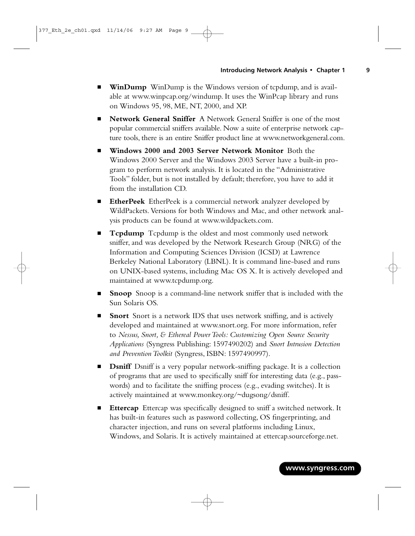- **WinDump** WinDump is the Windows version of tcpdump, and is available at www.winpcap.org/windump. It uses the WinPcap library and runs on Windows 95, 98, ME, NT, 2000, and XP.
- **Network General Sniffer** A Network General Sniffer is one of the most popular commercial sniffers available. Now a suite of enterprise network capture tools, there is an entire Sniffer product line at www.networkgeneral.com.
- **Windows 2000 and 2003 Server Network Monitor** Both the Windows 2000 Server and the Windows 2003 Server have a built-in program to perform network analysis. It is located in the "Administrative Tools" folder, but is not installed by default; therefore, you have to add it from the installation CD.
- **EtherPeek** EtherPeek is a commercial network analyzer developed by WildPackets. Versions for both Windows and Mac, and other network analysis products can be found at www.wildpackets.com.
- **Tcpdump** Tcpdump is the oldest and most commonly used network sniffer, and was developed by the Network Research Group (NRG) of the Information and Computing Sciences Division (ICSD) at Lawrence Berkeley National Laboratory (LBNL). It is command line-based and runs on UNIX-based systems, including Mac OS X. It is actively developed and maintained at www.tcpdump.org.
- **Snoop** Snoop is a command-line network sniffer that is included with the Sun Solaris OS.
- **Snort** Snort is a network IDS that uses network sniffing, and is actively developed and maintained at www.snort.org. For more information, refer to *Nessus, Snort, & Ethereal Power Tools: Customizing Open Source Security Applications* (Syngress Publishing: 1597490202) and *Snort Intrusion Detection and Prevention Toolkit* (Syngress, ISBN: 1597490997).
- **Dsniff** Dsniff is a very popular network-sniffing package. It is a collection of programs that are used to specifically sniff for interesting data (e.g., passwords) and to facilitate the sniffing process (e.g., evading switches). It is actively maintained at www.monkey.org/~dugsong/dsniff.
- **Ettercap** Ettercap was specifically designed to sniff a switched network. It has built-in features such as password collecting, OS fingerprinting, and character injection, and runs on several platforms including Linux, Windows, and Solaris. It is actively maintained at ettercap.sourceforge.net.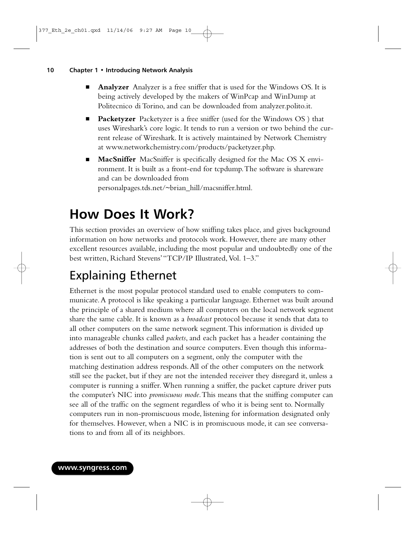- **Analyzer** Analyzer is a free sniffer that is used for the Windows OS. It is being actively developed by the makers of WinPcap and WinDump at Politecnico di Torino, and can be downloaded from analyzer.polito.it.
- **Packetyzer** Packetyzer is a free sniffer (used for the Windows OS) that uses Wireshark's core logic. It tends to run a version or two behind the current release of Wireshark. It is actively maintained by Network Chemistry at www.networkchemistry.com/products/packetyzer.php.
- **MacSniffer** MacSniffer is specifically designed for the Mac OS X environment. It is built as a front-end for tcpdump.The software is shareware and can be downloaded from personalpages.tds.net/~brian\_hill/macsniffer.html.

## **How Does It Work?**

This section provides an overview of how sniffing takes place, and gives background information on how networks and protocols work. However, there are many other excellent resources available, including the most popular and undoubtedly one of the best written, Richard Stevens'"TCP/IP Illustrated, Vol. 1–3."

## Explaining Ethernet

Ethernet is the most popular protocol standard used to enable computers to communicate.A protocol is like speaking a particular language. Ethernet was built around the principle of a shared medium where all computers on the local network segment share the same cable. It is known as a *broadcast* protocol because it sends that data to all other computers on the same network segment.This information is divided up into manageable chunks called *packets*, and each packet has a header containing the addresses of both the destination and source computers. Even though this information is sent out to all computers on a segment, only the computer with the matching destination address responds.All of the other computers on the network still see the packet, but if they are not the intended receiver they disregard it, unless a computer is running a sniffer. When running a sniffer, the packet capture driver puts the computer's NIC into *promiscuous mode*.This means that the sniffing computer can see all of the traffic on the segment regardless of who it is being sent to. Normally computers run in non-promiscuous mode, listening for information designated only for themselves. However, when a NIC is in promiscuous mode, it can see conversations to and from all of its neighbors.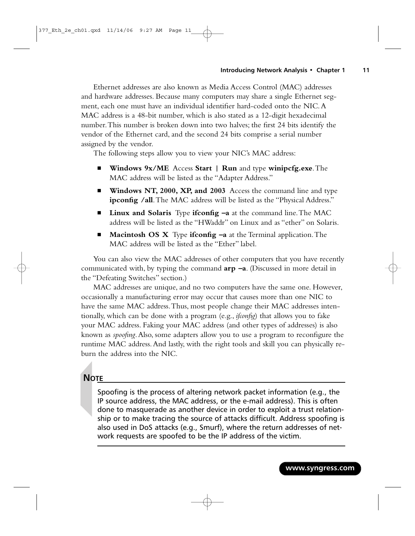Ethernet addresses are also known as Media Access Control (MAC) addresses and hardware addresses. Because many computers may share a single Ethernet segment, each one must have an individual identifier hard-coded onto the NIC.A MAC address is a 48-bit number, which is also stated as a 12-digit hexadecimal number.This number is broken down into two halves; the first 24 bits identify the vendor of the Ethernet card, and the second 24 bits comprise a serial number assigned by the vendor.

The following steps allow you to view your NIC's MAC address:

- **Windows 9x/ME** Access **Start | Run** and type **winipcfg.exe**.The MAC address will be listed as the "Adapter Address."
- **Windows NT, 2000, XP, and 2003** Access the command line and type **ipconfig /all**. The MAC address will be listed as the "Physical Address."
- **Linux and Solaris** Type **ifconfig** –a at the command line. The MAC address will be listed as the "HWaddr" on Linux and as "ether" on Solaris.
- **Macintosh OS X** Type **ifconfig** –a at the Terminal application. The MAC address will be listed as the "Ether" label.

You can also view the MAC addresses of other computers that you have recently communicated with, by typing the command **arp –a**. (Discussed in more detail in the "Defeating Switches" section.)

MAC addresses are unique, and no two computers have the same one. However, occasionally a manufacturing error may occur that causes more than one NIC to have the same MAC address.Thus, most people change their MAC addresses intentionally, which can be done with a program (e.g., *ifconfig*) that allows you to fake your MAC address. Faking your MAC address (and other types of addresses) is also known as *spoofing*.Also, some adapters allow you to use a program to reconfigure the runtime MAC address.And lastly, with the right tools and skill you can physically reburn the address into the NIC.

#### **NOTE**

Spoofing is the process of altering network packet information (e.g., the IP source address, the MAC address, or the e-mail address). This is often done to masquerade as another device in order to exploit a trust relationship or to make tracing the source of attacks difficult. Address spoofing is also used in DoS attacks (e.g., Smurf), where the return addresses of network requests are spoofed to be the IP address of the victim.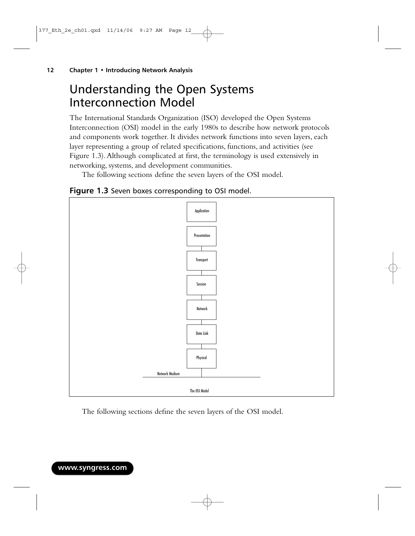## Understanding the Open Systems Interconnection Model

The International Standards Organization (ISO) developed the Open Systems Interconnection (OSI) model in the early 1980s to describe how network protocols and components work together. It divides network functions into seven layers, each layer representing a group of related specifications, functions, and activities (see Figure 1.3).Although complicated at first, the terminology is used extensively in networking, systems, and development communities.

The following sections define the seven layers of the OSI model.

#### **Figure 1.3** Seven boxes corresponding to OSI model.



The following sections define the seven layers of the OSI model.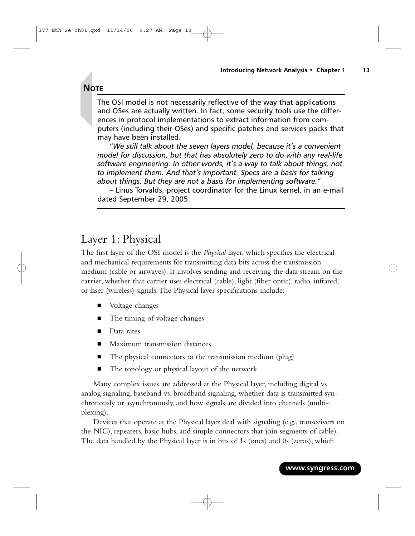#### **NOTE**

The OSI model is not necessarily reflective of the way that applications and OSes are actually written. In fact, some security tools use the differences in protocol implementations to extract information from computers (including their OSes) and specific patches and services packs that may have been installed.

"*We still talk about the seven layers model, because it's a convenient model for discussion, but that has absolutely zero to do with any real-life software engineering. In other words, it's a way to talk about things, not to implement them. And that's important. Specs are a basis for talking about things. But they are not a basis for implementing software.*"

– Linus Torvalds, project coordinator for the Linux kernel, in an e-mail dated September 29, 2005.

### Layer 1: Physical

The first layer of the OSI model is the *Physical* layer, which specifies the electrical and mechanical requirements for transmitting data bits across the transmission medium (cable or airwaves). It involves sending and receiving the data stream on the carrier, whether that carrier uses electrical (cable), light (fiber optic), radio, infrared, or laser (wireless) signals.The Physical layer specifications include:

- Voltage changes
- The timing of voltage changes
- Data rates
- Maximum transmission distances
- The physical connectors to the transmission medium (plug)
- The topology or physical layout of the network

Many complex issues are addressed at the Physical layer, including digital vs. analog signaling, baseband vs. broadband signaling, whether data is transmitted synchronously or asynchronously, and how signals are divided into channels (multiplexing).

Devices that operate at the Physical layer deal with signaling (e.g., transceivers on the NIC), repeaters, basic hubs, and simple connectors that join segments of cable). The data handled by the Physical layer is in bits of 1s (ones) and 0s (zeros), which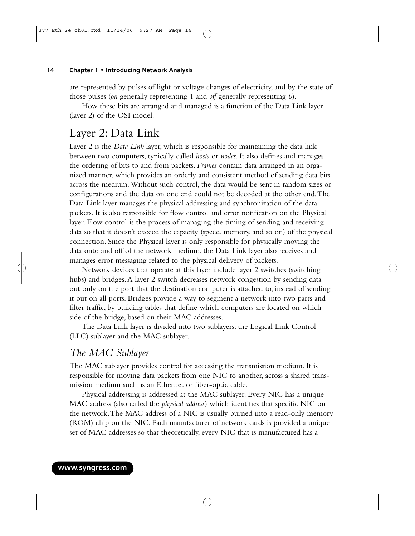are represented by pulses of light or voltage changes of electricity, and by the state of those pulses (*on* generally representing 1 and *off* generally representing *0*).

How these bits are arranged and managed is a function of the Data Link layer (layer 2) of the OSI model.

### Layer 2: Data Link

Layer 2 is the *Data Link* layer, which is responsible for maintaining the data link between two computers, typically called *hosts* or *nodes*. It also defines and manages the ordering of bits to and from packets. *Frames* contain data arranged in an organized manner, which provides an orderly and consistent method of sending data bits across the medium. Without such control, the data would be sent in random sizes or configurations and the data on one end could not be decoded at the other end.The Data Link layer manages the physical addressing and synchronization of the data packets. It is also responsible for flow control and error notification on the Physical layer. Flow control is the process of managing the timing of sending and receiving data so that it doesn't exceed the capacity (speed, memory, and so on) of the physical connection. Since the Physical layer is only responsible for physically moving the data onto and off of the network medium, the Data Link layer also receives and manages error messaging related to the physical delivery of packets.

Network devices that operate at this layer include layer 2 switches (switching hubs) and bridges. A layer 2 switch decreases network congestion by sending data out only on the port that the destination computer is attached to, instead of sending it out on all ports. Bridges provide a way to segment a network into two parts and filter traffic, by building tables that define which computers are located on which side of the bridge, based on their MAC addresses.

The Data Link layer is divided into two sublayers: the Logical Link Control (LLC) sublayer and the MAC sublayer.

### *The MAC Sublayer*

The MAC sublayer provides control for accessing the transmission medium. It is responsible for moving data packets from one NIC to another, across a shared transmission medium such as an Ethernet or fiber-optic cable.

Physical addressing is addressed at the MAC sublayer. Every NIC has a unique MAC address (also called the *physical address*) which identifies that specific NIC on the network.The MAC address of a NIC is usually burned into a read-only memory (ROM) chip on the NIC. Each manufacturer of network cards is provided a unique set of MAC addresses so that theoretically, every NIC that is manufactured has a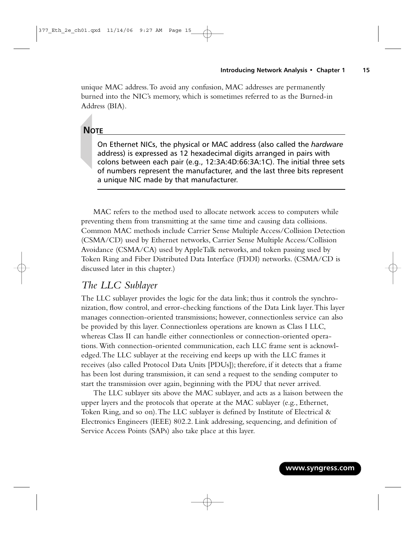unique MAC address.To avoid any confusion, MAC addresses are permanently burned into the NIC's memory, which is sometimes referred to as the Burned-in Address (BIA).

#### **NOTE**

On Ethernet NICs, the physical or MAC address (also called the *hardware* address) is expressed as 12 hexadecimal digits arranged in pairs with colons between each pair (e.g., 12:3A:4D:66:3A:1C). The initial three sets of numbers represent the manufacturer, and the last three bits represent a unique NIC made by that manufacturer.

MAC refers to the method used to allocate network access to computers while preventing them from transmitting at the same time and causing data collisions. Common MAC methods include Carrier Sense Multiple Access/Collision Detection (CSMA/CD) used by Ethernet networks, Carrier Sense Multiple Access/Collision Avoidance (CSMA/CA) used by AppleTalk networks, and token passing used by Token Ring and Fiber Distributed Data Interface (FDDI) networks. (CSMA/CD is discussed later in this chapter.)

#### *The LLC Sublayer*

The LLC sublayer provides the logic for the data link; thus it controls the synchronization, flow control, and error-checking functions of the Data Link layer.This layer manages connection-oriented transmissions; however, connectionless service can also be provided by this layer. Connectionless operations are known as Class I LLC, whereas Class II can handle either connectionless or connection-oriented operations. With connection-oriented communication, each LLC frame sent is acknowledged.The LLC sublayer at the receiving end keeps up with the LLC frames it receives (also called Protocol Data Units [PDUs]); therefore, if it detects that a frame has been lost during transmission, it can send a request to the sending computer to start the transmission over again, beginning with the PDU that never arrived.

The LLC sublayer sits above the MAC sublayer, and acts as a liaison between the upper layers and the protocols that operate at the MAC sublayer (e.g., Ethernet, Token Ring, and so on). The LLC sublayer is defined by Institute of Electrical  $\&$ Electronics Engineers (IEEE) 802.2. Link addressing, sequencing, and definition of Service Access Points (SAPs) also take place at this layer.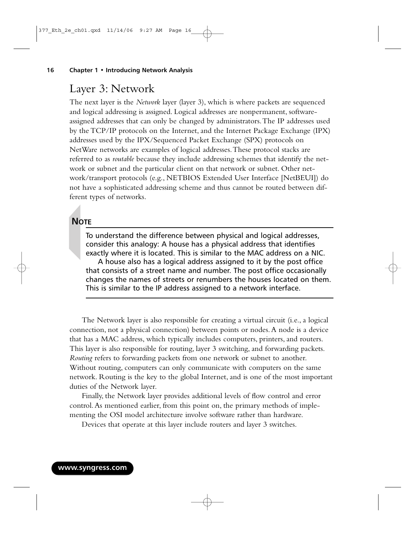### Layer 3: Network

The next layer is the *Network* layer (layer 3), which is where packets are sequenced and logical addressing is assigned. Logical addresses are nonpermanent, softwareassigned addresses that can only be changed by administrators.The IP addresses used by the TCP/IP protocols on the Internet, and the Internet Package Exchange (IPX) addresses used by the IPX/Sequenced Packet Exchange (SPX) protocols on NetWare networks are examples of logical addresses.These protocol stacks are referred to as *routable* because they include addressing schemes that identify the network or subnet and the particular client on that network or subnet. Other network/transport protocols (e.g., NETBIOS Extended User Interface [NetBEUI]) do not have a sophisticated addressing scheme and thus cannot be routed between different types of networks.

#### **NOTE**

To understand the difference between physical and logical addresses, consider this analogy: A house has a physical address that identifies exactly where it is located. This is similar to the MAC address on a NIC.

A house also has a logical address assigned to it by the post office that consists of a street name and number. The post office occasionally changes the names of streets or renumbers the houses located on them. This is similar to the IP address assigned to a network interface.

The Network layer is also responsible for creating a virtual circuit (i.e., a logical connection, not a physical connection) between points or nodes.A node is a device that has a MAC address, which typically includes computers, printers, and routers. This layer is also responsible for routing, layer 3 switching, and forwarding packets. *Routing* refers to forwarding packets from one network or subnet to another. Without routing, computers can only communicate with computers on the same network. Routing is the key to the global Internet, and is one of the most important duties of the Network layer.

Finally, the Network layer provides additional levels of flow control and error control.As mentioned earlier, from this point on, the primary methods of implementing the OSI model architecture involve software rather than hardware.

Devices that operate at this layer include routers and layer 3 switches.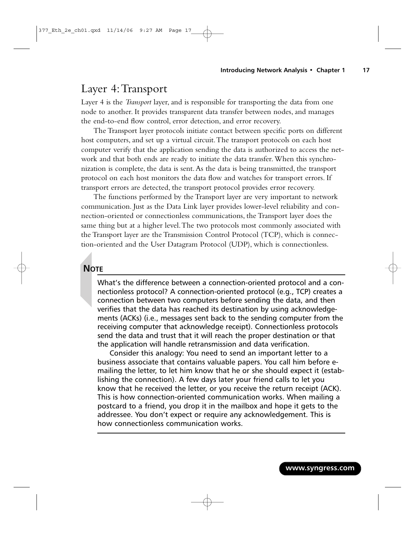### Layer 4:Transport

Layer 4 is the *Transport* layer, and is responsible for transporting the data from one node to another. It provides transparent data transfer between nodes, and manages the end-to-end flow control, error detection, and error recovery.

The Transport layer protocols initiate contact between specific ports on different host computers, and set up a virtual circuit.The transport protocols on each host computer verify that the application sending the data is authorized to access the network and that both ends are ready to initiate the data transfer. When this synchronization is complete, the data is sent.As the data is being transmitted, the transport protocol on each host monitors the data flow and watches for transport errors. If transport errors are detected, the transport protocol provides error recovery.

The functions performed by the Transport layer are very important to network communication. Just as the Data Link layer provides lower-level reliability and connection-oriented or connectionless communications, the Transport layer does the same thing but at a higher level.The two protocols most commonly associated with the Transport layer are the Transmission Control Protocol (TCP), which is connection-oriented and the User Datagram Protocol (UDP), which is connectionless.

#### **NOTE**

What's the difference between a connection-oriented protocol and a connectionless protocol? A connection-oriented protocol (e.g., TCP) creates a connection between two computers before sending the data, and then verifies that the data has reached its destination by using acknowledgements (ACKs) (i.e., messages sent back to the sending computer from the receiving computer that acknowledge receipt). Connectionless protocols send the data and trust that it will reach the proper destination or that the application will handle retransmission and data verification.

Consider this analogy: You need to send an important letter to a business associate that contains valuable papers. You call him before emailing the letter, to let him know that he or she should expect it (establishing the connection). A few days later your friend calls to let you know that he received the letter, or you receive the return receipt (ACK). This is how connection-oriented communication works. When mailing a postcard to a friend, you drop it in the mailbox and hope it gets to the addressee. You don't expect or require any acknowledgement. This is how connectionless communication works.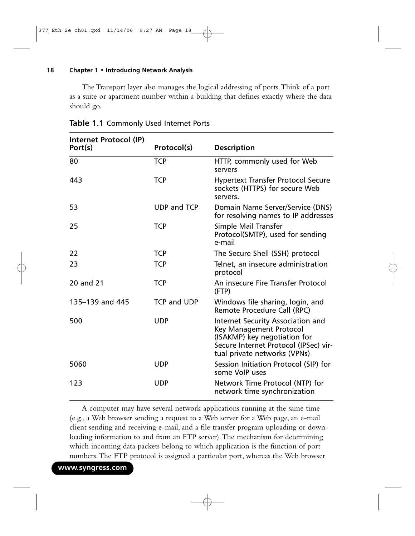#### **18 Chapter 1 • Introducing Network Analysis**

The Transport layer also manages the logical addressing of ports.Think of a port as a suite or apartment number within a building that defines exactly where the data should go.

| Internet Protocol (IP)<br>Port(s) | Protocol(s)        | <b>Description</b>                                                                                                                                                    |
|-----------------------------------|--------------------|-----------------------------------------------------------------------------------------------------------------------------------------------------------------------|
| 80                                | <b>TCP</b>         | HTTP, commonly used for Web<br>servers                                                                                                                                |
| 443                               | <b>TCP</b>         | <b>Hypertext Transfer Protocol Secure</b><br>sockets (HTTPS) for secure Web<br>servers.                                                                               |
| 53                                | <b>UDP and TCP</b> | Domain Name Server/Service (DNS)<br>for resolving names to IP addresses                                                                                               |
| 25                                | <b>TCP</b>         | Simple Mail Transfer<br>Protocol(SMTP), used for sending<br>e-mail                                                                                                    |
| 22                                | <b>TCP</b>         | The Secure Shell (SSH) protocol                                                                                                                                       |
| 23                                | <b>TCP</b>         | Telnet, an insecure administration<br>protocol                                                                                                                        |
| 20 and 21                         | <b>TCP</b>         | An insecure Fire Transfer Protocol<br>(FTP)                                                                                                                           |
| 135-139 and 445                   | <b>TCP and UDP</b> | Windows file sharing, login, and<br>Remote Procedure Call (RPC)                                                                                                       |
| 500                               | <b>UDP</b>         | Internet Security Association and<br>Key Management Protocol<br>(ISAKMP) key negotiation for<br>Secure Internet Protocol (IPSec) vir-<br>tual private networks (VPNs) |
| 5060                              | <b>UDP</b>         | Session Initiation Protocol (SIP) for<br>some VoIP uses                                                                                                               |
| 123                               | <b>UDP</b>         | Network Time Protocol (NTP) for<br>network time synchronization                                                                                                       |

**Table 1.1** Commonly Used Internet Ports

A computer may have several network applications running at the same time (e.g., a Web browser sending a request to a Web server for a Web page, an e-mail client sending and receiving e-mail, and a file transfer program uploading or downloading information to and from an FTP server).The mechanism for determining which incoming data packets belong to which application is the function of port numbers.The FTP protocol is assigned a particular port, whereas the Web browser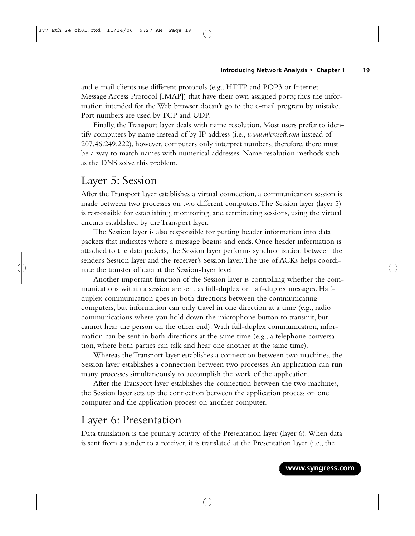and e-mail clients use different protocols (e.g., HTTP and POP3 or Internet Message Access Protocol [IMAP]) that have their own assigned ports; thus the information intended for the Web browser doesn't go to the e-mail program by mistake. Port numbers are used by TCP and UDP.

Finally, the Transport layer deals with name resolution. Most users prefer to identify computers by name instead of by IP address (i.e., *www.microsoft.com* instead of 207.46.249.222), however, computers only interpret numbers, therefore, there must be a way to match names with numerical addresses. Name resolution methods such as the DNS solve this problem.

#### Layer 5: Session

After the Transport layer establishes a virtual connection, a communication session is made between two processes on two different computers.The Session layer (layer 5) is responsible for establishing, monitoring, and terminating sessions, using the virtual circuits established by the Transport layer.

The Session layer is also responsible for putting header information into data packets that indicates where a message begins and ends. Once header information is attached to the data packets, the Session layer performs synchronization between the sender's Session layer and the receiver's Session layer.The use of ACKs helps coordinate the transfer of data at the Session-layer level.

Another important function of the Session layer is controlling whether the communications within a session are sent as full-duplex or half-duplex messages. Halfduplex communication goes in both directions between the communicating computers, but information can only travel in one direction at a time (e.g., radio communications where you hold down the microphone button to transmit, but cannot hear the person on the other end). With full-duplex communication, information can be sent in both directions at the same time (e.g., a telephone conversation, where both parties can talk and hear one another at the same time).

Whereas the Transport layer establishes a connection between two machines, the Session layer establishes a connection between two processes.An application can run many processes simultaneously to accomplish the work of the application.

After the Transport layer establishes the connection between the two machines, the Session layer sets up the connection between the application process on one computer and the application process on another computer.

### Layer 6: Presentation

Data translation is the primary activity of the Presentation layer (layer 6). When data is sent from a sender to a receiver, it is translated at the Presentation layer (i.e., the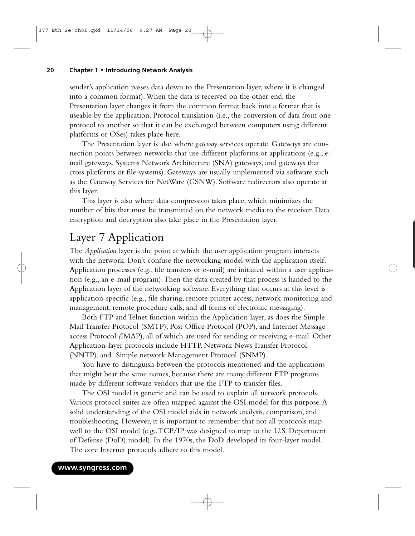sender's application passes data down to the Presentation layer, where it is changed into a common format). When the data is received on the other end, the Presentation layer changes it from the common format back into a format that is useable by the application. Protocol translation (i.e., the conversion of data from one protocol to another so that it can be exchanged between computers using different platforms or OSes) takes place here.

The Presentation layer is also where *gateway* services operate. Gateways are connection points between networks that use different platforms or applications (e.g., email gateways, Systems Network Architecture (SNA) gateways, and gateways that cross platforms or file systems). Gateways are usually implemented via software such as the Gateway Services for NetWare (GSNW). Software redirectors also operate at this layer.

This layer is also where data compression takes place, which minimizes the number of bits that must be transmitted on the network media to the receiver. Data encryption and decryption also take place in the Presentation layer.

### Layer 7 Application

The *Application* layer is the point at which the user application program interacts with the network. Don't confuse the networking model with the application itself. Application processes (e.g., file transfers or e-mail) are initiated within a user application (e.g., an e-mail program).Then the data created by that process is handed to the Application layer of the networking software. Everything that occurs at this level is application-specific (e.g., file sharing, remote printer access, network monitoring and management, remote procedure calls, and all forms of electronic messaging).

Both FTP and Telnet function within the Application layer, as does the Simple Mail Transfer Protocol (SMTP), Post Office Protocol (POP), and Internet Message access Protocol *(*IMAP), all of which are used for sending or receiving e-mail. Other Application-layer protocols include HTTP, Network News Transfer Protocol (NNTP), and Simple network Management Protocol (SNMP).

You have to distinguish between the protocols mentioned and the applications that might bear the same names, because there are many different FTP programs made by different software vendors that use the FTP to transfer files.

The OSI model is generic and can be used to explain all network protocols. Various protocol suites are often mapped against the OSI model for this purpose.A solid understanding of the OSI model aids in network analysis, comparison, and troubleshooting. However, it is important to remember that not all protocols map well to the OSI model (e.g., TCP/IP was designed to map to the U.S. Department of Defense (DoD) model). In the 1970s, the DoD developed its four-layer model. The core Internet protocols adhere to this model.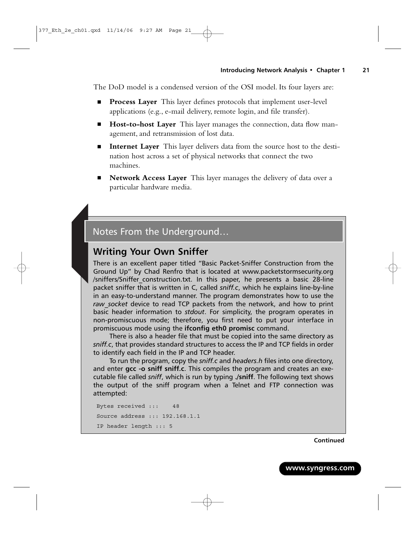The DoD model is a condensed version of the OSI model. Its four layers are:

- **Process Layer** This layer defines protocols that implement user-level applications (e.g., e-mail delivery, remote login, and file transfer).
- **Host-to-host Layer** This layer manages the connection, data flow management, and retransmission of lost data.
- **Internet Layer** This layer delivers data from the source host to the destination host across a set of physical networks that connect the two machines.
- **Network Access Layer** This layer manages the delivery of data over a particular hardware media.

### Notes From the Underground…

#### **Writing Your Own Sniffer**

There is an excellent paper titled "Basic Packet-Sniffer Construction from the Ground Up" by Chad Renfro that is located at www.packetstormsecurity.org /sniffers/Sniffer\_construction.txt. In this paper, he presents a basic 28-line packet sniffer that is written in C, called *sniff.c*, which he explains line-by-line in an easy-to-understand manner. The program demonstrates how to use the *raw\_socket* device to read TCP packets from the network, and how to print basic header information to *stdout*. For simplicity, the program operates in non-promiscuous mode; therefore, you first need to put your interface in promiscuous mode using the **ifconfig eth0 promisc** command.

There is also a header file that must be copied into the same directory as *sniff.c*, that provides standard structures to access the IP and TCP fields in order to identify each field in the IP and TCP header.

To run the program, copy the *sniff.c* and *headers.h* files into one directory, and enter **gcc -o sniff sniff.c**. This compiles the program and creates an executable file called *sniff*, which is run by typing **./sniff**. The following text shows the output of the sniff program when a Telnet and FTP connection was attempted:

Bytes received ::: 48 Source address ::: 192.168.1.1 IP header length ::: 5

**Continued**

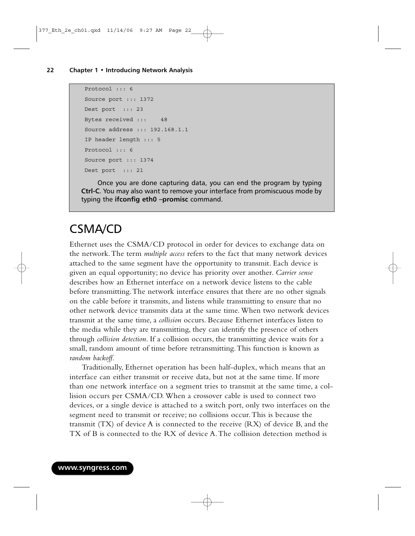```
Protocol ::: 6
Source port ::: 1372
Dest port ::: 23
Bytes received ::: 48
Source address ::: 192.168.1.1
IP header length ::: 5
Protocol ::: 6
Source port ::: 1374
Dest port ::: 21
```
Once you are done capturing data, you can end the program by typing **Ctrl-C**. You may also want to remove your interface from promiscuous mode by typing the **ifconfig eth0 –promisc** command.

## CSMA/CD

Ethernet uses the CSMA/CD protocol in order for devices to exchange data on the network.The term *multiple access* refers to the fact that many network devices attached to the same segment have the opportunity to transmit. Each device is given an equal opportunity; no device has priority over another. *Carrier sense* describes how an Ethernet interface on a network device listens to the cable before transmitting.The network interface ensures that there are no other signals on the cable before it transmits, and listens while transmitting to ensure that no other network device transmits data at the same time. When two network devices transmit at the same time, a *collision* occurs. Because Ethernet interfaces listen to the media while they are transmitting, they can identify the presence of others through *collision detection*. If a collision occurs, the transmitting device waits for a small, random amount of time before retransmitting.This function is known as *random backoff*.

Traditionally, Ethernet operation has been half-duplex, which means that an interface can either transmit or receive data, but not at the same time. If more than one network interface on a segment tries to transmit at the same time, a collision occurs per CSMA/CD. When a crossover cable is used to connect two devices, or a single device is attached to a switch port, only two interfaces on the segment need to transmit or receive; no collisions occur.This is because the transmit (TX) of device A is connected to the receive (RX) of device B, and the TX of B is connected to the RX of device A.The collision detection method is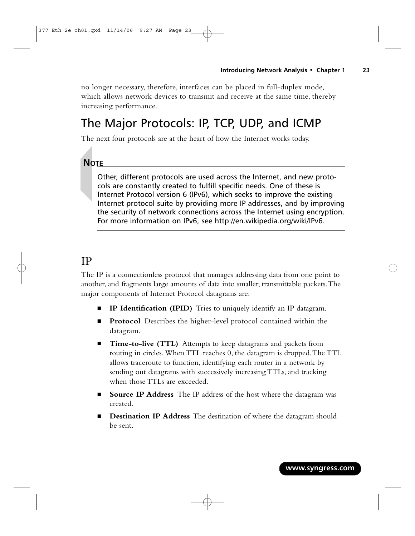no longer necessary, therefore, interfaces can be placed in full-duplex mode, which allows network devices to transmit and receive at the same time, thereby increasing performance.

## The Major Protocols: IP, TCP, UDP, and ICMP

The next four protocols are at the heart of how the Internet works today.

#### **NOTE**

Other, different protocols are used across the Internet, and new protocols are constantly created to fulfill specific needs. One of these is Internet Protocol version 6 (IPv6), which seeks to improve the existing Internet protocol suite by providing more IP addresses, and by improving the security of network connections across the Internet using encryption. For more information on IPv6, see http://en.wikipedia.org/wiki/IPv6.

### IP

The IP is a connectionless protocol that manages addressing data from one point to another, and fragments large amounts of data into smaller, transmittable packets.The major components of Internet Protocol datagrams are:

- **IP Identification (IPID)** Tries to uniquely identify an IP datagram.
- **Protocol** Describes the higher-level protocol contained within the datagram.
- **Time-to-live (TTL)** Attempts to keep datagrams and packets from routing in circles. When TTL reaches 0, the datagram is dropped.The TTL allows traceroute to function, identifying each router in a network by sending out datagrams with successively increasing TTLs, and tracking when those TTLs are exceeded.
- **Source IP Address** The IP address of the host where the datagram was created.
- **Destination IP Address** The destination of where the datagram should be sent.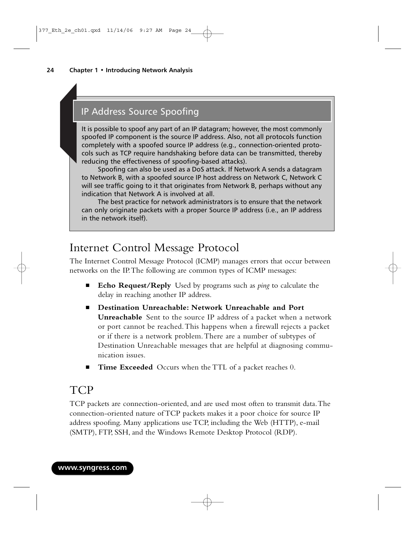### IP Address Source Spoofing

It is possible to spoof any part of an IP datagram; however, the most commonly spoofed IP component is the source IP address. Also, not all protocols function completely with a spoofed source IP address (e.g., connection-oriented protocols such as TCP require handshaking before data can be transmitted, thereby reducing the effectiveness of spoofing-based attacks).

Spoofing can also be used as a DoS attack. If Network A sends a datagram to Network B, with a spoofed source IP host address on Network C, Network C will see traffic going to it that originates from Network B, perhaps without any indication that Network A is involved at all.

The best practice for network administrators is to ensure that the network can only originate packets with a proper Source IP address (i.e., an IP address in the network itself).

### Internet Control Message Protocol

The Internet Control Message Protocol (ICMP) manages errors that occur between networks on the IP.The following are common types of ICMP messages:

- **Echo Request/Reply** Used by programs such as *ping* to calculate the delay in reaching another IP address.
- **Destination Unreachable: Network Unreachable and Port Unreachable** Sent to the source IP address of a packet when a network or port cannot be reached.This happens when a firewall rejects a packet or if there is a network problem.There are a number of subtypes of Destination Unreachable messages that are helpful at diagnosing communication issues.
- **Time Exceeded** Occurs when the TTL of a packet reaches 0.

### **TCP**

TCP packets are connection-oriented, and are used most often to transmit data.The connection-oriented nature of TCP packets makes it a poor choice for source IP address spoofing. Many applications use TCP, including the Web (HTTP), e-mail (SMTP), FTP, SSH, and the Windows Remote Desktop Protocol (RDP).

**www.syngress.com**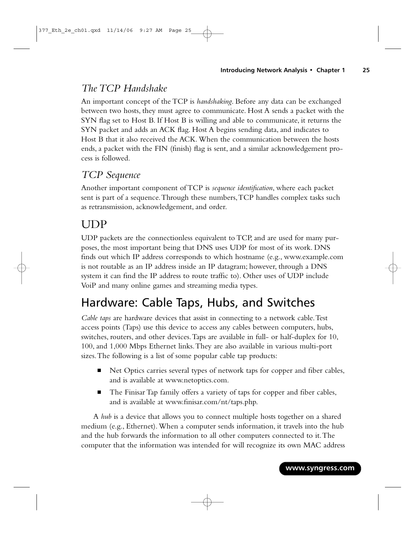### *The TCP Handshake*

An important concept of the TCP is *handshaking*. Before any data can be exchanged between two hosts, they must agree to communicate. Host A sends a packet with the SYN flag set to Host B. If Host B is willing and able to communicate, it returns the SYN packet and adds an ACK flag. Host A begins sending data, and indicates to Host B that it also received the ACK. When the communication between the hosts ends, a packet with the FIN (finish) flag is sent, and a similar acknowledgement process is followed.

### *TCP Sequence*

Another important component of TCP is *sequence identification*, where each packet sent is part of a sequence.Through these numbers,TCP handles complex tasks such as retransmission, acknowledgement, and order.

## UDP

UDP packets are the connectionless equivalent to TCP, and are used for many purposes, the most important being that DNS uses UDP for most of its work. DNS finds out which IP address corresponds to which hostname (e.g., www.example.com is not routable as an IP address inside an IP datagram; however, through a DNS system it can find the IP address to route traffic to). Other uses of UDP include VoiP and many online games and streaming media types.

## Hardware: Cable Taps, Hubs, and Switches

*Cable taps* are hardware devices that assist in connecting to a network cable.Test access points (Taps) use this device to access any cables between computers, hubs, switches, routers, and other devices.Taps are available in full- or half-duplex for 10, 100, and 1,000 Mbps Ethernet links.They are also available in various multi-port sizes.The following is a list of some popular cable tap products:

- Net Optics carries several types of network taps for copper and fiber cables, and is available at www.netoptics.com.
- The Finisar Tap family offers a variety of taps for copper and fiber cables, and is available at www.finisar.com/nt/taps.php.

A *hub* is a device that allows you to connect multiple hosts together on a shared medium (e.g., Ethernet). When a computer sends information, it travels into the hub and the hub forwards the information to all other computers connected to it.The computer that the information was intended for will recognize its own MAC address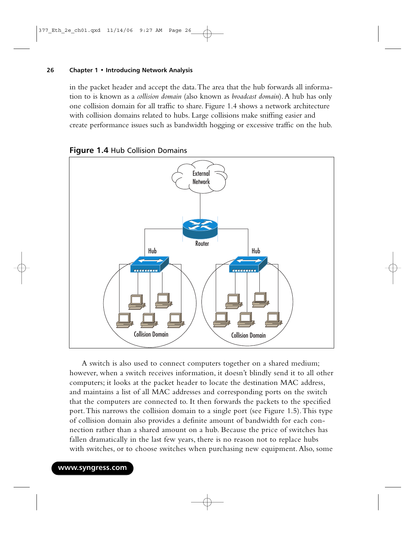#### **26 Chapter 1 • Introducing Network Analysis**

in the packet header and accept the data.The area that the hub forwards all information to is known as a *collision domain* (also known as *broadcast domain*).A hub has only one collision domain for all traffic to share. Figure 1.4 shows a network architecture with collision domains related to hubs. Large collisions make sniffing easier and create performance issues such as bandwidth hogging or excessive traffic on the hub.





A switch is also used to connect computers together on a shared medium; however, when a switch receives information, it doesn't blindly send it to all other computers; it looks at the packet header to locate the destination MAC address, and maintains a list of all MAC addresses and corresponding ports on the switch that the computers are connected to. It then forwards the packets to the specified port.This narrows the collision domain to a single port (see Figure 1.5).This type of collision domain also provides a definite amount of bandwidth for each connection rather than a shared amount on a hub. Because the price of switches has fallen dramatically in the last few years, there is no reason not to replace hubs with switches, or to choose switches when purchasing new equipment. Also, some

**www.syngress.com**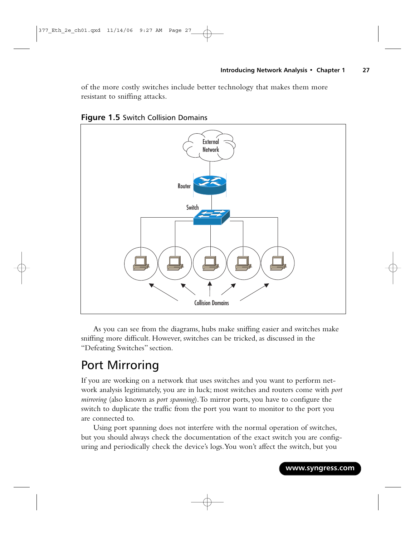of the more costly switches include better technology that makes them more resistant to sniffing attacks.





As you can see from the diagrams, hubs make sniffing easier and switches make sniffing more difficult. However, switches can be tricked, as discussed in the "Defeating Switches" section.

## Port Mirroring

If you are working on a network that uses switches and you want to perform network analysis legitimately, you are in luck; most switches and routers come with *port mirroring* (also known as *port spanning*).To mirror ports, you have to configure the switch to duplicate the traffic from the port you want to monitor to the port you are connected to.

Using port spanning does not interfere with the normal operation of switches, but you should always check the documentation of the exact switch you are configuring and periodically check the device's logs.You won't affect the switch, but you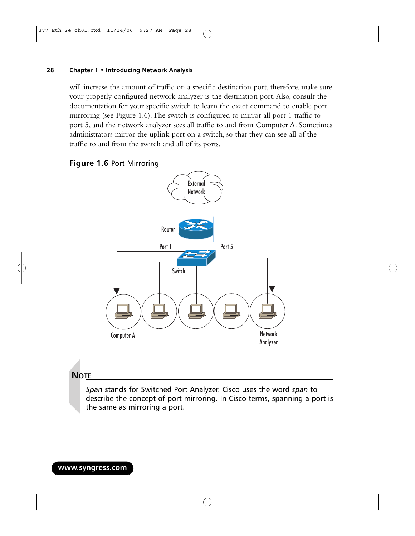#### **28 Chapter 1 • Introducing Network Analysis**

will increase the amount of traffic on a specific destination port, therefore, make sure your properly configured network analyzer is the destination port.Also, consult the documentation for your specific switch to learn the exact command to enable port mirroring (see Figure 1.6).The switch is configured to mirror all port 1 traffic to port 5, and the network analyzer sees all traffic to and from Computer A. Sometimes administrators mirror the uplink port on a switch, so that they can see all of the traffic to and from the switch and all of its ports.



#### **Figure 1.6** Port Mirroring

### **NOTE**

*Span* stands for Switched Port Analyzer. Cisco uses the word *span* to describe the concept of port mirroring. In Cisco terms, spanning a port is the same as mirroring a port.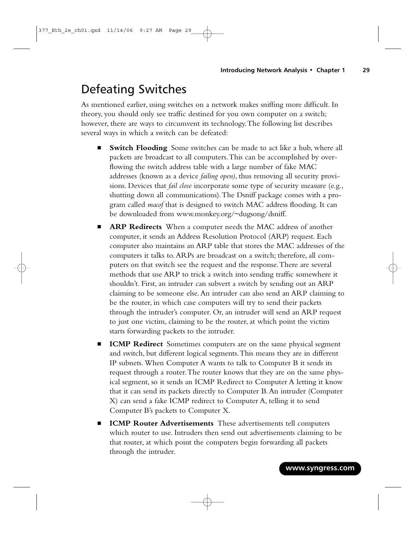## Defeating Switches

As mentioned earlier, using switches on a network makes sniffing more difficult. In theory, you should only see traffic destined for you own computer on a switch; however, there are ways to circumvent its technology.The following list describes several ways in which a switch can be defeated:

- **Switch Flooding** Some switches can be made to act like a hub, where all packets are broadcast to all computers.This can be accomplished by overflowing the switch address table with a large number of fake MAC addresses (known as a device *failing open)*, thus removing all security provisions. Devices that *fail close* incorporate some type of security measure (e.g., shutting down all communications).The Dsniff package comes with a program called *macof* that is designed to switch MAC address flooding. It can be downloaded from www.monkey.org/~dugsong/dsniff.
- **ARP Redirects** When a computer needs the MAC address of another computer, it sends an Address Resolution Protocol (ARP) request. Each computer also maintains an ARP table that stores the MAC addresses of the computers it talks to.ARPs are broadcast on a switch; therefore, all computers on that switch see the request and the response.There are several methods that use ARP to trick a switch into sending traffic somewhere it shouldn't. First, an intruder can subvert a switch by sending out an ARP claiming to be someone else.An intruder can also send an ARP claiming to be the router, in which case computers will try to send their packets through the intruder's computer. Or, an intruder will send an ARP request to just one victim, claiming to be the router, at which point the victim starts forwarding packets to the intruder.
- **ICMP Redirect** Sometimes computers are on the same physical segment and switch, but different logical segments.This means they are in different IP subnets. When Computer A wants to talk to Computer B it sends its request through a router.The router knows that they are on the same physical segment, so it sends an ICMP Redirect to Computer A letting it know that it can send its packets directly to Computer B.An intruder (Computer X) can send a fake ICMP redirect to Computer A, telling it to send Computer B's packets to Computer X.
- **ICMP Router Advertisements** These advertisements tell computers which router to use. Intruders then send out advertisements claiming to be that router, at which point the computers begin forwarding all packets through the intruder.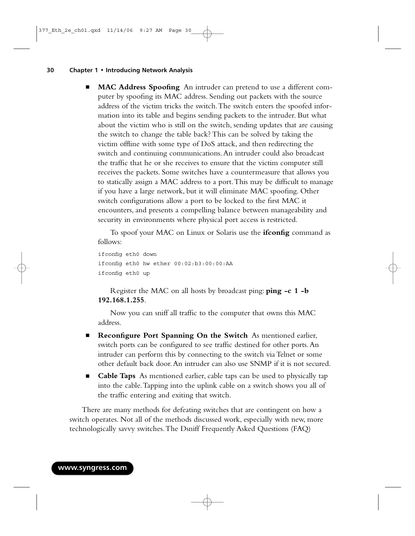#### **30 Chapter 1 • Introducing Network Analysis**

■ **MAC Address Spoofing** An intruder can pretend to use a different computer by spoofing its MAC address. Sending out packets with the source address of the victim tricks the switch.The switch enters the spoofed information into its table and begins sending packets to the intruder. But what about the victim who is still on the switch, sending updates that are causing the switch to change the table back? This can be solved by taking the victim offline with some type of DoS attack, and then redirecting the switch and continuing communications.An intruder could also broadcast the traffic that he or she receives to ensure that the victim computer still receives the packets. Some switches have a countermeasure that allows you to statically assign a MAC address to a port.This may be difficult to manage if you have a large network, but it will eliminate MAC spoofing. Other switch configurations allow a port to be locked to the first MAC it encounters, and presents a compelling balance between manageability and security in environments where physical port access is restricted.

To spoof your MAC on Linux or Solaris use the **ifconfig** command as follows:

```
ifconfig eth0 down
ifconfig eth0 hw ether 00:02:b3:00:00:AA
ifconfig eth0 up
```
Register the MAC on all hosts by broadcast ping: **ping -c 1 -b 192.168.1.255**.

Now you can sniff all traffic to the computer that owns this MAC address.

- **Reconfigure Port Spanning On the Switch** As mentioned earlier, switch ports can be configured to see traffic destined for other ports.An intruder can perform this by connecting to the switch via Telnet or some other default back door.An intruder can also use SNMP if it is not secured.
- **Cable Taps** As mentioned earlier, cable taps can be used to physically tap into the cable.Tapping into the uplink cable on a switch shows you all of the traffic entering and exiting that switch.

There are many methods for defeating switches that are contingent on how a switch operates. Not all of the methods discussed work, especially with new, more technologically savvy switches.The Dsniff Frequently Asked Questions (FAQ)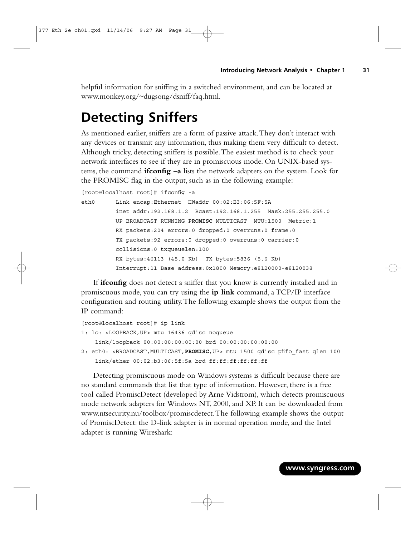helpful information for sniffing in a switched environment, and can be located at www.monkey.org/~dugsong/dsniff/faq.html.

## **Detecting Sniffers**

As mentioned earlier, sniffers are a form of passive attack.They don't interact with any devices or transmit any information, thus making them very difficult to detect. Although tricky, detecting sniffers is possible.The easiest method is to check your network interfaces to see if they are in promiscuous mode. On UNIX-based systems, the command **ifconfig –a** lists the network adapters on the system. Look for the PROMISC flag in the output, such as in the following example:

```
[root@localhost root]# ifconfig -a
eth0 Link encap:Ethernet HWaddr 00:02:B3:06:5F:5A
          inet addr:192.168.1.2 Bcast:192.168.1.255 Mask:255.255.255.0
         UP BROADCAST RUNNING PROMISC MULTICAST MTU:1500 Metric:1
         RX packets:204 errors:0 dropped:0 overruns:0 frame:0
         TX packets:92 errors:0 dropped:0 overruns:0 carrier:0
         collisions:0 txqueuelen:100
         RX bytes:46113 (45.0 Kb) TX bytes:5836 (5.6 Kb)
          Interrupt:11 Base address:0x1800 Memory:e8120000-e8120038
```
If **ifconfig** does not detect a sniffer that you know is currently installed and in promiscuous mode, you can try using the **ip link** command, a TCP/IP interface configuration and routing utility.The following example shows the output from the IP command:

```
[root@localhost root]# ip link
1: lo: <LOOPBACK,UP> mtu 16436 qdisc noqueue
    link/loopback 00:00:00:00:00:00 brd 00:00:00:00:00:00
2: eth0: <BROADCAST,MULTICAST,PROMISC,UP> mtu 1500 qdisc pfifo_fast qlen 100
    link/ether 00:02:b3:06:5f:5a brd ff:ff:ff:ff:ff:ff
```
Detecting promiscuous mode on Windows systems is difficult because there are no standard commands that list that type of information. However, there is a free tool called PromiscDetect (developed by Arne Vidstrom), which detects promiscuous mode network adapters for Windows NT, 2000, and XP. It can be downloaded from www.ntsecurity.nu/toolbox/promiscdetect.The following example shows the output of PromiscDetect: the D-link adapter is in normal operation mode, and the Intel adapter is running Wireshark: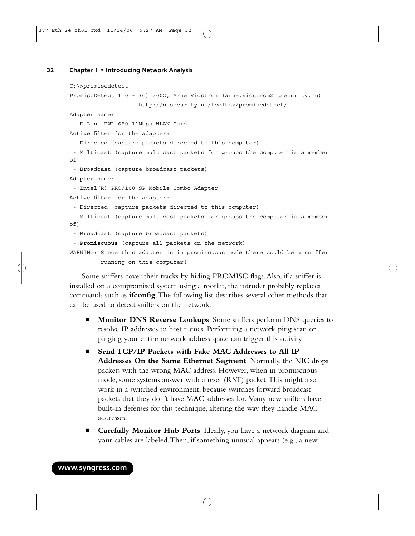```
C:\>promiscdetect
PromiscDetect 1.0 - (c) 2002, Arne Vidstrom (arne.vidstrom@ntsecurity.nu)
                  - http://ntsecurity.nu/toolbox/promiscdetect/
Adapter name:
 - D-Link DWL-650 11Mbps WLAN Card
Active filter for the adapter:
 - Directed (capture packets directed to this computer)
 - Multicast (capture multicast packets for groups the computer is a member
of)
 - Broadcast (capture broadcast packets)
Adapter name:
 - Intel(R) PRO/100 SP Mobile Combo Adapter
Active filter for the adapter:
 - Directed (capture packets directed to this computer)
 - Multicast (capture multicast packets for groups the computer is a member
of)
 - Broadcast (capture broadcast packets)
 - Promiscuous (capture all packets on the network)
WARNING: Since this adapter is in promiscuous mode there could be a sniffer
         running on this computer!
```
Some sniffers cover their tracks by hiding PROMISC flags.Also, if a sniffer is installed on a compromised system using a rootkit, the intruder probably replaces commands such as **ifconfig**.The following list describes several other methods that can be used to detect sniffers on the network:

- **Monitor DNS Reverse Lookups** Some sniffers perform DNS queries to resolve IP addresses to host names. Performing a network ping scan or pinging your entire network address space can trigger this activity.
- **Send TCP/IP Packets with Fake MAC Addresses to All IP Addresses On the Same Ethernet Segment** Normally, the NIC drops packets with the wrong MAC address. However, when in promiscuous mode, some systems answer with a reset (RST) packet.This might also work in a switched environment, because switches forward broadcast packets that they don't have MAC addresses for. Many new sniffers have built-in defenses for this technique, altering the way they handle MAC addresses.
- **Carefully Monitor Hub Ports** Ideally, you have a network diagram and your cables are labeled.Then, if something unusual appears (e.g., a new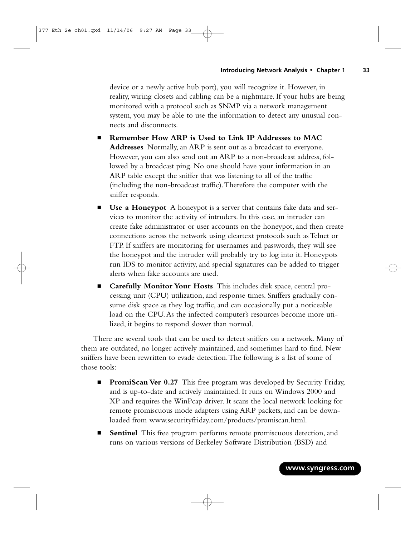device or a newly active hub port), you will recognize it. However, in reality, wiring closets and cabling can be a nightmare. If your hubs are being monitored with a protocol such as SNMP via a network management system, you may be able to use the information to detect any unusual connects and disconnects.

- **Remember How ARP is Used to Link IP Addresses to MAC Addresses** Normally, an ARP is sent out as a broadcast to everyone. However, you can also send out an ARP to a non-broadcast address, followed by a broadcast ping. No one should have your information in an ARP table except the sniffer that was listening to all of the traffic (including the non-broadcast traffic).Therefore the computer with the sniffer responds.
- **Use a Honeypot** A honeypot is a server that contains fake data and services to monitor the activity of intruders. In this case, an intruder can create fake administrator or user accounts on the honeypot, and then create connections across the network using cleartext protocols such as Telnet or FTP. If sniffers are monitoring for usernames and passwords, they will see the honeypot and the intruder will probably try to log into it. Honeypots run IDS to monitor activity, and special signatures can be added to trigger alerts when fake accounts are used.
- **Carefully Monitor Your Hosts** This includes disk space, central processing unit (CPU) utilization, and response times. Sniffers gradually consume disk space as they log traffic, and can occasionally put a noticeable load on the CPU.As the infected computer's resources become more utilized, it begins to respond slower than normal.

There are several tools that can be used to detect sniffers on a network. Many of them are outdated, no longer actively maintained, and sometimes hard to find. New sniffers have been rewritten to evade detection.The following is a list of some of those tools:

- **PromiScan Ver 0.27** This free program was developed by Security Friday, and is up-to-date and actively maintained. It runs on Windows 2000 and XP and requires the WinPcap driver. It scans the local network looking for remote promiscuous mode adapters using ARP packets, and can be downloaded from www.securityfriday.com/products/promiscan.html.
- **Sentinel** This free program performs remote promiscuous detection, and runs on various versions of Berkeley Software Distribution (BSD) and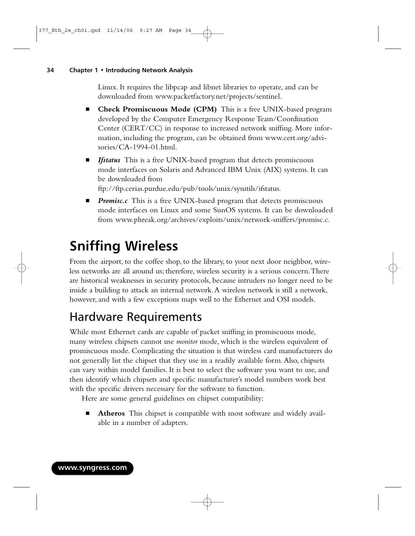#### **34 Chapter 1 • Introducing Network Analysis**

Linux. It requires the libpcap and libnet libraries to operate, and can be downloaded from www.packetfactory.net/projects/sentinel.

- **Check Promiscuous Mode (CPM)** This is a free UNIX-based program developed by the Computer Emergency Response Team/Coordination Center (CERT/CC) in response to increased network sniffing. More information, including the program, can be obtained from www.cert.org/advisories/CA-1994-01.html.
- *Ifstatus* This is a free UNIX-based program that detects promiscuous mode interfaces on Solaris and Advanced IBM Unix (AIX) systems. It can be downloaded from ftp://ftp.cerias.purdue.edu/pub/tools/unix/sysutils/ifstatus.
- *Promisc.c* This is a free UNIX-based program that detects promiscuous mode interfaces on Linux and some SunOS systems. It can be downloaded from www.phreak.org/archives/exploits/unix/network-sniffers/promisc.c.

## **Sniffing Wireless**

From the airport, to the coffee shop, to the library, to your next door neighbor, wireless networks are all around us; therefore, wireless security is a serious concern.There are historical weaknesses in security protocols, because intruders no longer need to be inside a building to attack an internal network.A wireless network is still a network, however, and with a few exceptions maps well to the Ethernet and OSI models.

## Hardware Requirements

While most Ethernet cards are capable of packet sniffing in promiscuous mode, many wireless chipsets cannot use *monitor* mode, which is the wireless equivalent of promiscuous mode. Complicating the situation is that wireless card manufacturers do not generally list the chipset that they use in a readily available form.Also, chipsets can vary within model families. It is best to select the software you want to use, and then identify which chipsets and specific manufacturer's model numbers work best with the specific drivers necessary for the software to function.

Here are some general guidelines on chipset compatibility:

**Atheros** This chipset is compatible with most software and widely available in a number of adapters.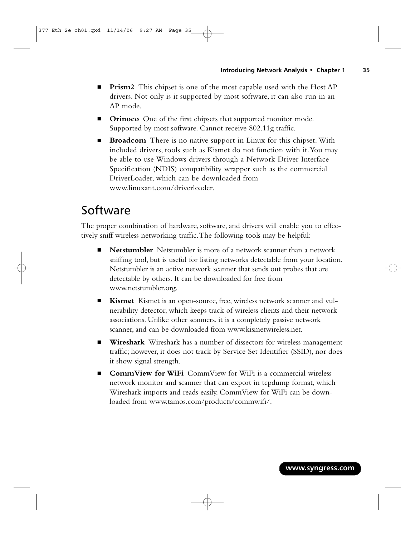- **Prism2** This chipset is one of the most capable used with the Host AP drivers. Not only is it supported by most software, it can also run in an AP mode.
- **Orinoco** One of the first chipsets that supported monitor mode. Supported by most software. Cannot receive 802.11g traffic.
- **Broadcom** There is no native support in Linux for this chipset. With included drivers, tools such as Kismet do not function with it.You may be able to use Windows drivers through a Network Driver Interface Specification (NDIS) compatibility wrapper such as the commercial DriverLoader, which can be downloaded from www.linuxant.com/driverloader.

## Software

The proper combination of hardware, software, and drivers will enable you to effectively sniff wireless networking traffic.The following tools may be helpful:

- **Netstumbler** Netstumbler is more of a network scanner than a network sniffing tool, but is useful for listing networks detectable from your location. Netstumbler is an active network scanner that sends out probes that are detectable by others. It can be downloaded for free from www.netstumbler.org.
- **Kismet** Kismet is an open-source, free, wireless network scanner and vulnerability detector, which keeps track of wireless clients and their network associations. Unlike other scanners, it is a completely passive network scanner, and can be downloaded from www.kismetwireless.net.
- **Wireshark** Wireshark has a number of dissectors for wireless management traffic; however, it does not track by Service Set Identifier (SSID), nor does it show signal strength.
- **CommView for WiFi** CommView for WiFi is a commercial wireless network monitor and scanner that can export in tcpdump format, which Wireshark imports and reads easily. CommView for WiFi can be downloaded from www.tamos.com/products/commwifi/.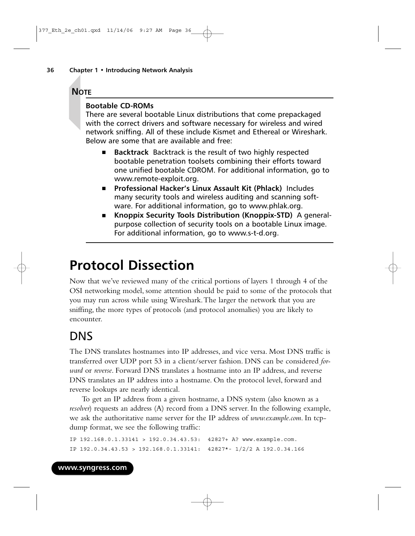#### **NOTE**

#### **Bootable CD-ROMs**

There are several bootable Linux distributions that come prepackaged with the correct drivers and software necessary for wireless and wired network sniffing. All of these include Kismet and Ethereal or Wireshark. Below are some that are available and free:

- **Backtrack** Backtrack is the result of two highly respected bootable penetration toolsets combining their efforts toward one unified bootable CDROM. For additional information, go to www.remote-exploit.org.
- **Professional Hacker's Linux Assault Kit (Phlack)** Includes many security tools and wireless auditing and scanning software. For additional information, go to www.phlak.org.
- **Knoppix Security Tools Distribution (Knoppix-STD)** A generalpurpose collection of security tools on a bootable Linux image. For additional information, go to www.s-t-d.org.

# **Protocol Dissection**

Now that we've reviewed many of the critical portions of layers 1 through 4 of the OSI networking model, some attention should be paid to some of the protocols that you may run across while using Wireshark.The larger the network that you are sniffing, the more types of protocols (and protocol anomalies) you are likely to encounter.

## DNS

The DNS translates hostnames into IP addresses, and vice versa. Most DNS traffic is transferred over UDP port 53 in a client/server fashion. DNS can be considered *forward* or *reverse*. Forward DNS translates a hostname into an IP address, and reverse DNS translates an IP address into a hostname. On the protocol level, forward and reverse lookups are nearly identical.

To get an IP address from a given hostname, a DNS system (also known as a *resolver*) requests an address (A) record from a DNS server. In the following example, we ask the authoritative name server for the IP address of *www.example.com*. In tcpdump format, we see the following traffic:

```
IP 192.168.0.1.33141 > 192.0.34.43.53: 42827+ A? www.example.com.
IP 192.0.34.43.53 > 192.168.0.1.33141: 42827*- 1/2/2 A 192.0.34.166
```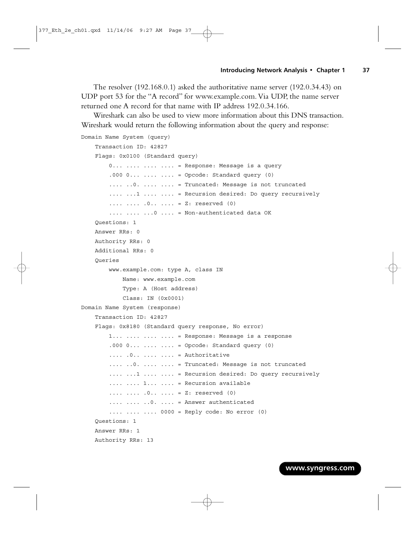The resolver (192.168.0.1) asked the authoritative name server (192.0.34.43) on UDP port 53 for the "A record" for www.example.com. Via UDP, the name server returned one A record for that name with IP address 192.0.34.166.

Wireshark can also be used to view more information about this DNS transaction. Wireshark would return the following information about the query and response:

```
Domain Name System (query)
    Transaction ID: 42827
    Flags: 0x0100 (Standard query)
        0... .... .... .... = Response: Message is a query
        .0000... ... \ldots .... = Opcode: Standard query (0)
        .... ..0. .... .... = Truncated: Message is not truncated
        .... ...1 .... .... = Recursion desired: Do query recursively
        .... .... .0.. .... = Z: reserved (0)
        .... .... ...0 .... = Non-authenticated data OK
    Questions: 1
    Answer RRs: 0
    Authority RRs: 0
    Additional RRs: 0
    Queries
        www.example.com: type A, class IN
            Name: www.example.com
            Type: A (Host address)
            Class: IN (0x0001)
Domain Name System (response)
    Transaction ID: 42827
    Flags: 0x8180 (Standard query response, No error)
        1... .... .... .... = Response: Message is a response
        .0000... \ldots \ldots \ldots = Opcode: Standard query (0)
        .... .0.. .... .... = Authoritative
        .... ..0. .... .... = Truncated: Message is not truncated
        .... ...1 .... .... = Recursion desired: Do query recursively
        \ldots, \ldots 1... \ldots = Recursion available
        .... .... .0.. .... = Z: reserved (0)
        .... .... ..0. .... = Answer authenticated
        .... .... .... 0000 = Reply code: No error (0)
    Questions: 1
    Answer RRs: 1
    Authority RRs: 13
```
**www.syngress.com**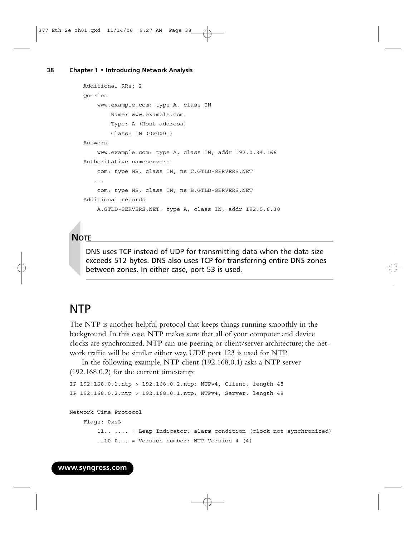```
Additional RRs: 2
Queries
    www.example.com: type A, class IN
        Name: www.example.com
        Type: A (Host address)
        Class: IN (0x0001)
Answers
    www.example.com: type A, class IN, addr 192.0.34.166
Authoritative nameservers
    com: type NS, class IN, ns C.GTLD-SERVERS.NET
   ...
    com: type NS, class IN, ns B.GTLD-SERVERS.NET
Additional records
    A.GTLD-SERVERS.NET: type A, class IN, addr 192.5.6.30
```
#### **NOTE**

DNS uses TCP instead of UDP for transmitting data when the data size exceeds 512 bytes. DNS also uses TCP for transferring entire DNS zones between zones. In either case, port 53 is used.

## NTP

The NTP is another helpful protocol that keeps things running smoothly in the background. In this case, NTP makes sure that all of your computer and device clocks are synchronized. NTP can use peering or client/server architecture; the network traffic will be similar either way. UDP port 123 is used for NTP.

In the following example, NTP client (192.168.0.1) asks a NTP server (192.168.0.2) for the current timestamp:

```
IP 192.168.0.1.ntp > 192.168.0.2.ntp: NTPv4, Client, length 48
IP 192.168.0.2.ntp > 192.168.0.1.ntp: NTPv4, Server, length 48
Network Time Protocol
    Flags: 0xe3
        11.. .... = Leap Indicator: alarm condition (clock not synchronized)
        ..10 0... = Version number: NTP Version 4 (4)
```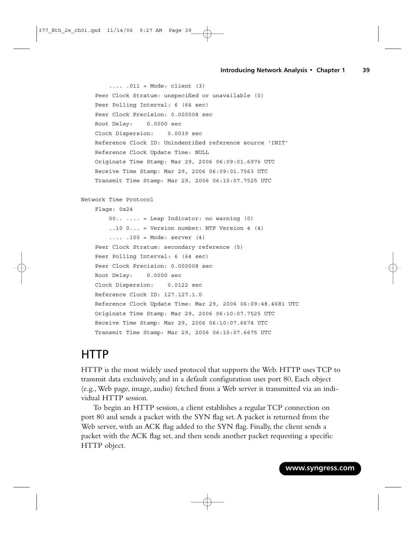```
\ldots .011 = Mode: client (3)
    Peer Clock Stratum: unspecified or unavailable (0)
    Peer Polling Interval: 6 (64 sec)
    Peer Clock Precision: 0.000008 sec
    Root Delay: 0.0000 sec
    Clock Dispersion: 0.0039 sec
    Reference Clock ID: Unindentified reference source 'INIT'
    Reference Clock Update Time: NULL
    Originate Time Stamp: Mar 29, 2006 06:09:01.6976 UTC
    Receive Time Stamp: Mar 29, 2006 06:09:01.7563 UTC
    Transmit Time Stamp: Mar 29, 2006 06:10:07.7525 UTC
Network Time Protocol
    Flags: 0x24
        00... ... = Leap Indicator: no warning (0).10 0... = Version number: NTP Version 4 (4)
        \ldots.... 100 = Mode: server (4)
    Peer Clock Stratum: secondary reference (5)
    Peer Polling Interval: 6 (64 sec)
    Peer Clock Precision: 0.000008 sec
    Root Delay: 0.0000 sec
    Clock Dispersion: 0.0122 sec
    Reference Clock ID: 127.127.1.0
    Reference Clock Update Time: Mar 29, 2006 06:09:48.4681 UTC
    Originate Time Stamp: Mar 29, 2006 06:10:07.7525 UTC
    Receive Time Stamp: Mar 29, 2006 06:10:07.6674 UTC
    Transmit Time Stamp: Mar 29, 2006 06:10:07.6675 UTC
```
### **HTTP**

HTTP is the most widely used protocol that supports the Web. HTTP uses TCP to transmit data exclusively, and in a default configuration uses port 80. Each object (e.g., Web page, image, audio) fetched from a Web server is transmitted via an individual HTTP session.

To begin an HTTP session, a client establishes a regular TCP connection on port 80 and sends a packet with the SYN flag set.A packet is returned from the Web server, with an ACK flag added to the SYN flag. Finally, the client sends a packet with the ACK flag set, and then sends another packet requesting a specific HTTP object.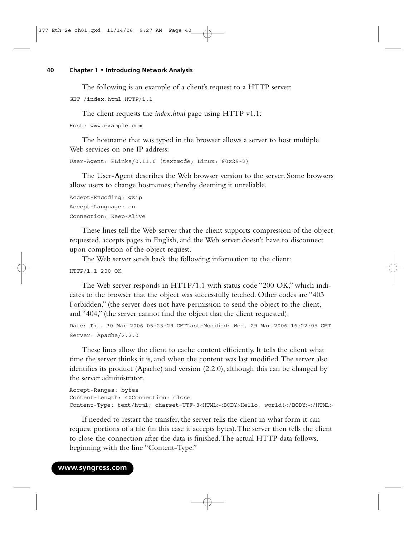The following is an example of a client's request to a HTTP server:

GET /index.html HTTP/1.1

The client requests the *index.html* page using HTTP v1.1:

```
Host: www.example.com
```
The hostname that was typed in the browser allows a server to host multiple Web services on one IP address:

User-Agent: ELinks/0.11.0 (textmode; Linux; 80x25-2)

The User-Agent describes the Web browser version to the server. Some browsers allow users to change hostnames; thereby deeming it unreliable.

```
Accept-Encoding: gzip
Accept-Language: en
Connection: Keep-Alive
```
These lines tell the Web server that the client supports compression of the object requested, accepts pages in English, and the Web server doesn't have to disconnect upon completion of the object request.

The Web server sends back the following information to the client:

```
HTTP/1.1 200 OK
```
The Web server responds in HTTP/1.1 with status code "200 OK," which indicates to the browser that the object was successfully fetched. Other codes are "403 Forbidden," (the server does not have permission to send the object to the client, and "404," (the server cannot find the object that the client requested).

```
Date: Thu, 30 Mar 2006 05:23:29 GMTLast-Modified: Wed, 29 Mar 2006 16:22:05 GMT
Server: Apache/2.2.0
```
These lines allow the client to cache content efficiently. It tells the client what time the server thinks it is, and when the content was last modified.The server also identifies its product (Apache) and version (2.2.0), although this can be changed by the server administrator.

```
Accept-Ranges: bytes
Content-Length: 40Connection: close
Content-Type: text/html; charset=UTF-8<HTML><BODY>Hello, world!</BODY></HTML>
```
If needed to restart the transfer, the server tells the client in what form it can request portions of a file (in this case it accepts bytes).The server then tells the client to close the connection after the data is finished.The actual HTTP data follows, beginning with the line "Content-Type."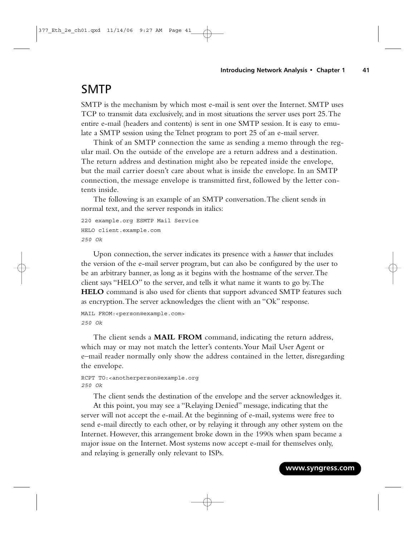## SMTP

SMTP is the mechanism by which most e-mail is sent over the Internet. SMTP uses TCP to transmit data exclusively, and in most situations the server uses port 25.The entire e-mail (headers and contents) is sent in one SMTP session. It is easy to emulate a SMTP session using the Telnet program to port 25 of an e-mail server.

Think of an SMTP connection the same as sending a memo through the regular mail. On the outside of the envelope are a return address and a destination. The return address and destination might also be repeated inside the envelope, but the mail carrier doesn't care about what is inside the envelope. In an SMTP connection, the message envelope is transmitted first, followed by the letter contents inside.

The following is an example of an SMTP conversation.The client sends in normal text, and the server responds in italics:

```
220 example.org ESMTP Mail Service
HELO client.example.com
250 Ok
```
Upon connection, the server indicates its presence with a *banner* that includes the version of the e-mail server program, but can also be configured by the user to be an arbitrary banner, as long as it begins with the hostname of the server.The client says "HELO" to the server, and tells it what name it wants to go by.The **HELO** command is also used for clients that support advanced SMTP features such as encryption.The server acknowledges the client with an "Ok" response.

```
MAIL FROM:<person@example.com>
250 Ok
```
The client sends a **MAIL FROM** command, indicating the return address, which may or may not match the letter's contents.Your Mail User Agent or e–mail reader normally only show the address contained in the letter, disregarding the envelope.

```
RCPT TO:<anotherperson@example.org
250 Ok
```
The client sends the destination of the envelope and the server acknowledges it.

At this point, you may see a "Relaying Denied" message, indicating that the server will not accept the e-mail.At the beginning of e-mail, systems were free to send e-mail directly to each other, or by relaying it through any other system on the Internet. However, this arrangement broke down in the 1990s when spam became a major issue on the Internet. Most systems now accept e-mail for themselves only, and relaying is generally only relevant to ISPs.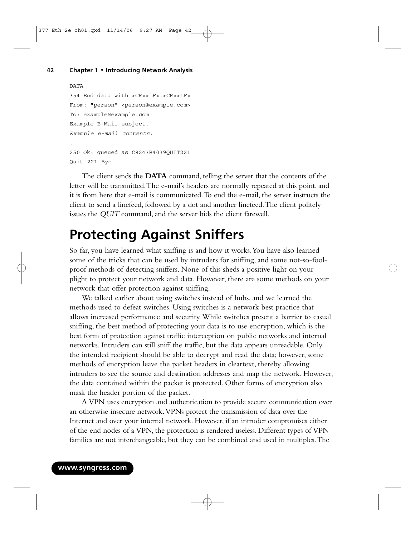```
DATA
354 End data with <CR><LF>.<CR><LF>
From: "person" <person@example.com>
To: example@example.com
Example E-Mail subject.
Example e-mail contents.
.
250 Ok: queued as C8243B4039QUIT221
Quit 221 Bye
```
The client sends the **DATA** command, telling the server that the contents of the letter will be transmitted.The e-mail's headers are normally repeated at this point, and it is from here that e-mail is communicated.To end the e-mail, the server instructs the client to send a linefeed, followed by a dot and another linefeed.The client politely issues the *QUIT* command, and the server bids the client farewell.

## **Protecting Against Sniffers**

So far, you have learned what sniffing is and how it works.You have also learned some of the tricks that can be used by intruders for sniffing, and some not-so-foolproof methods of detecting sniffers. None of this sheds a positive light on your plight to protect your network and data. However, there are some methods on your network that offer protection against sniffing.

We talked earlier about using switches instead of hubs, and we learned the methods used to defeat switches. Using switches is a network best practice that allows increased performance and security. While switches present a barrier to casual sniffing, the best method of protecting your data is to use encryption, which is the best form of protection against traffic interception on public networks and internal networks. Intruders can still sniff the traffic, but the data appears unreadable. Only the intended recipient should be able to decrypt and read the data; however, some methods of encryption leave the packet headers in cleartext, thereby allowing intruders to see the source and destination addresses and map the network. However, the data contained within the packet is protected. Other forms of encryption also mask the header portion of the packet.

A VPN uses encryption and authentication to provide secure communication over an otherwise insecure network. VPNs protect the transmission of data over the Internet and over your internal network. However, if an intruder compromises either of the end nodes of a VPN, the protection is rendered useless. Different types of VPN families are not interchangeable, but they can be combined and used in multiples.The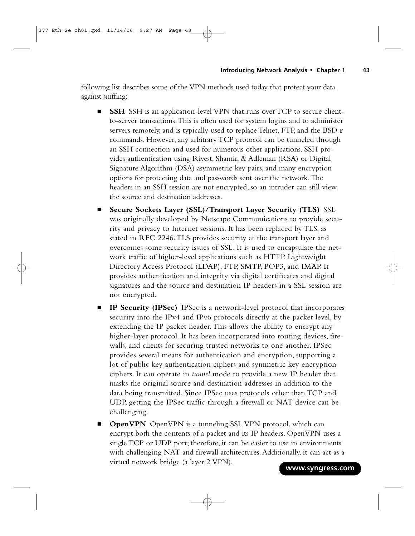following list describes some of the VPN methods used today that protect your data against sniffing:

- **SSH** SSH is an application-level VPN that runs over TCP to secure clientto-server transactions.This is often used for system logins and to administer servers remotely, and is typically used to replace Telnet, FTP, and the BSD **r** commands. However, any arbitrary TCP protocol can be tunneled through an SSH connection and used for numerous other applications. SSH provides authentication using Rivest, Shamir, & Adleman (RSA) or Digital Signature Algorithm (DSA) asymmetric key pairs, and many encryption options for protecting data and passwords sent over the network.The headers in an SSH session are not encrypted, so an intruder can still view the source and destination addresses.
- **Secure Sockets Layer (SSL)/Transport Layer Security (TLS)** SSL was originally developed by Netscape Communications to provide security and privacy to Internet sessions. It has been replaced by TLS, as stated in RFC 2246.TLS provides security at the transport layer and overcomes some security issues of SSL. It is used to encapsulate the network traffic of higher-level applications such as HTTP, Lightweight Directory Access Protocol (LDAP), FTP, SMTP, POP3, and IMAP. It provides authentication and integrity via digital certificates and digital signatures and the source and destination IP headers in a SSL session are not encrypted.
- **IP Security (IPSec)** IPSec is a network-level protocol that incorporates security into the IPv4 and IPv6 protocols directly at the packet level, by extending the IP packet header.This allows the ability to encrypt any higher-layer protocol. It has been incorporated into routing devices, firewalls, and clients for securing trusted networks to one another. IPSec provides several means for authentication and encryption, supporting a lot of public key authentication ciphers and symmetric key encryption ciphers. It can operate in *tunnel* mode to provide a new IP header that masks the original source and destination addresses in addition to the data being transmitted. Since IPSec uses protocols other than TCP and UDP, getting the IPSec traffic through a firewall or NAT device can be challenging.
- **OpenVPN** OpenVPN is a tunneling SSL VPN protocol, which can encrypt both the contents of a packet and its IP headers. OpenVPN uses a single TCP or UDP port; therefore, it can be easier to use in environments with challenging NAT and firewall architectures. Additionally, it can act as a virtual network bridge (a layer 2 VPN).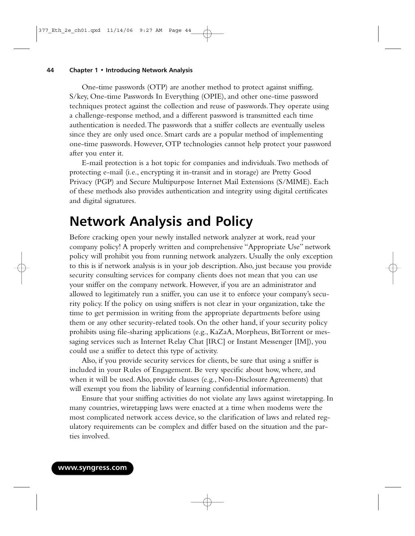One-time passwords (OTP) are another method to protect against sniffing. S/key, One-time Passwords In Everything (OPIE), and other one-time password techniques protect against the collection and reuse of passwords.They operate using a challenge-response method, and a different password is transmitted each time authentication is needed.The passwords that a sniffer collects are eventually useless since they are only used once. Smart cards are a popular method of implementing one-time passwords. However, OTP technologies cannot help protect your password after you enter it.

E-mail protection is a hot topic for companies and individuals.Two methods of protecting e-mail (i.e., encrypting it in-transit and in storage) are Pretty Good Privacy (PGP) and Secure Multipurpose Internet Mail Extensions (S/MIME). Each of these methods also provides authentication and integrity using digital certificates and digital signatures.

## **Network Analysis and Policy**

Before cracking open your newly installed network analyzer at work, read your company policy! A properly written and comprehensive "Appropriate Use" network policy will prohibit you from running network analyzers. Usually the only exception to this is if network analysis is in your job description.Also, just because you provide security consulting services for company clients does not mean that you can use your sniffer on the company network. However, if you are an administrator and allowed to legitimately run a sniffer, you can use it to enforce your company's security policy. If the policy on using sniffers is not clear in your organization, take the time to get permission in writing from the appropriate departments before using them or any other security-related tools. On the other hand, if your security policy prohibits using file-sharing applications (e.g., KaZaA, Morpheus, BitTorrent or messaging services such as Internet Relay Chat [IRC] or Instant Messenger [IM]), you could use a sniffer to detect this type of activity.

Also, if you provide security services for clients, be sure that using a sniffer is included in your Rules of Engagement. Be very specific about how, where, and when it will be used.Also, provide clauses (e.g., Non-Disclosure Agreements) that will exempt you from the liability of learning confidential information.

Ensure that your sniffing activities do not violate any laws against wiretapping. In many countries, wiretapping laws were enacted at a time when modems were the most complicated network access device, so the clarification of laws and related regulatory requirements can be complex and differ based on the situation and the parties involved.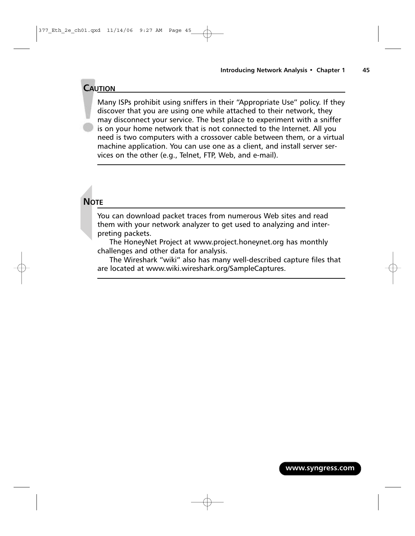#### **CAUTION**

Many ISPs prohibit using sniffers in their "Appropriate Use" policy. If they discover that you are using one while attached to their network, they may disconnect your service. The best place to experiment with a sniffer is on your home network that is not connected to the Internet. All you need is two computers with a crossover cable between them, or a virtual machine application. You can use one as a client, and install server services on the other (e.g., Telnet, FTP, Web, and e-mail).

#### **NOTE**

You can download packet traces from numerous Web sites and read them with your network analyzer to get used to analyzing and interpreting packets.

The HoneyNet Project at www.project.honeynet.org has monthly challenges and other data for analysis.

The Wireshark "wiki" also has many well-described capture files that are located at www.wiki.wireshark.org/SampleCaptures.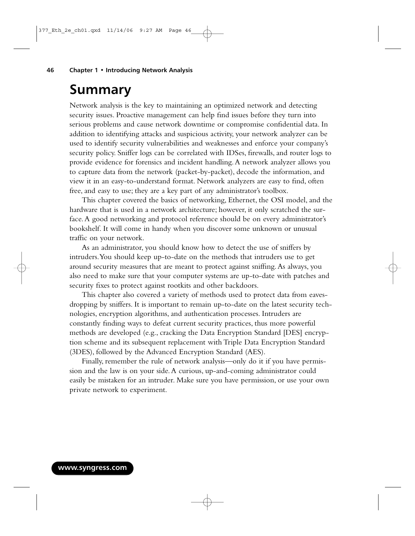## **Summary**

Network analysis is the key to maintaining an optimized network and detecting security issues. Proactive management can help find issues before they turn into serious problems and cause network downtime or compromise confidential data. In addition to identifying attacks and suspicious activity, your network analyzer can be used to identify security vulnerabilities and weaknesses and enforce your company's security policy. Sniffer logs can be correlated with IDSes, firewalls, and router logs to provide evidence for forensics and incident handling.A network analyzer allows you to capture data from the network (packet-by-packet), decode the information, and view it in an easy-to-understand format. Network analyzers are easy to find, often free, and easy to use; they are a key part of any administrator's toolbox.

This chapter covered the basics of networking, Ethernet, the OSI model, and the hardware that is used in a network architecture; however, it only scratched the surface.A good networking and protocol reference should be on every administrator's bookshelf. It will come in handy when you discover some unknown or unusual traffic on your network.

As an administrator, you should know how to detect the use of sniffers by intruders.You should keep up-to-date on the methods that intruders use to get around security measures that are meant to protect against sniffing.As always, you also need to make sure that your computer systems are up-to-date with patches and security fixes to protect against rootkits and other backdoors.

This chapter also covered a variety of methods used to protect data from eavesdropping by sniffers. It is important to remain up-to-date on the latest security technologies, encryption algorithms, and authentication processes. Intruders are constantly finding ways to defeat current security practices, thus more powerful methods are developed (e.g., cracking the Data Encryption Standard [DES] encryption scheme and its subsequent replacement with Triple Data Encryption Standard (3DES), followed by the Advanced Encryption Standard (AES).

Finally, remember the rule of network analysis—only do it if you have permission and the law is on your side.A curious, up-and-coming administrator could easily be mistaken for an intruder. Make sure you have permission, or use your own private network to experiment.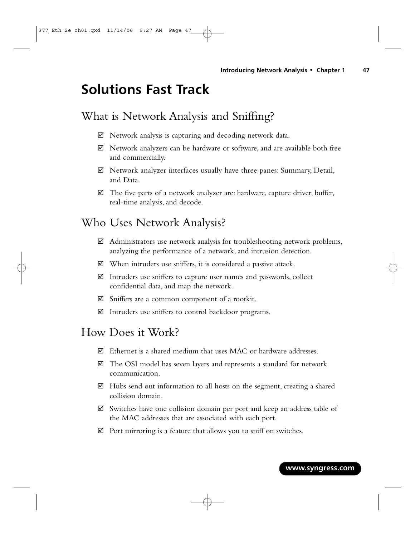## **Solutions Fast Track**

### What is Network Analysis and Sniffing?

- $\boxtimes$  Network analysis is capturing and decoding network data.
- $\boxtimes$  Network analyzers can be hardware or software, and are available both free and commercially.
- $\boxtimes$  Network analyzer interfaces usually have three panes: Summary, Detail, and Data.
- $\boxtimes$  The five parts of a network analyzer are: hardware, capture driver, buffer, real-time analysis, and decode.

### Who Uses Network Analysis?

- $\boxtimes$  Administrators use network analysis for troubleshooting network problems, analyzing the performance of a network, and intrusion detection.
- $\boxtimes$  When intruders use sniffers, it is considered a passive attack.
- $\boxtimes$  Intruders use sniffers to capture user names and passwords, collect confidential data, and map the network.
- $\boxtimes$  Sniffers are a common component of a rootkit.
- Intruders use sniffers to control backdoor programs.

### How Does it Work?

- $\boxtimes$  Ethernet is a shared medium that uses MAC or hardware addresses.
- $\boxtimes$  The OSI model has seven layers and represents a standard for network communication.
- $\boxtimes$  Hubs send out information to all hosts on the segment, creating a shared collision domain.
- $\boxtimes$  Switches have one collision domain per port and keep an address table of the MAC addresses that are associated with each port.
- $\boxtimes$  Port mirroring is a feature that allows you to sniff on switches.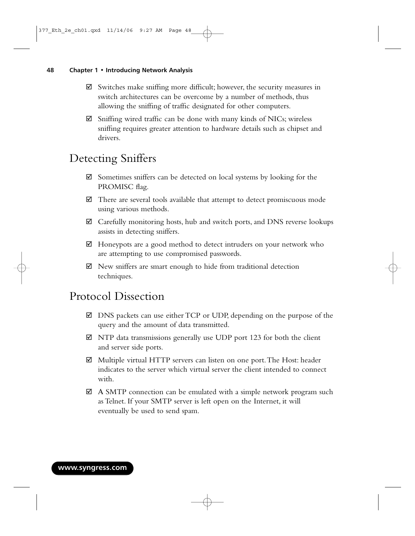- $\boxtimes$  Switches make sniffing more difficult; however, the security measures in switch architectures can be overcome by a number of methods, thus allowing the sniffing of traffic designated for other computers.
- $\boxtimes$  Sniffing wired traffic can be done with many kinds of NICs; wireless sniffing requires greater attention to hardware details such as chipset and drivers.

### Detecting Sniffers

- $\boxtimes$  Sometimes sniffers can be detected on local systems by looking for the PROMISC flag.
- $\boxtimes$  There are several tools available that attempt to detect promiscuous mode using various methods.
- $\boxtimes$  Carefully monitoring hosts, hub and switch ports, and DNS reverse lookups assists in detecting sniffers.
- $\boxtimes$  Honeypots are a good method to detect intruders on your network who are attempting to use compromised passwords.
- $\boxtimes$  New sniffers are smart enough to hide from traditional detection techniques.

### Protocol Dissection

- $\boxtimes$  DNS packets can use either TCP or UDP, depending on the purpose of the query and the amount of data transmitted.
- $\boxtimes$  NTP data transmissions generally use UDP port 123 for both the client and server side ports.
- Multiple virtual HTTP servers can listen on one port.The Host: header indicates to the server which virtual server the client intended to connect with.
- Α SMTP connection can be emulated with a simple network program such as Telnet. If your SMTP server is left open on the Internet, it will eventually be used to send spam.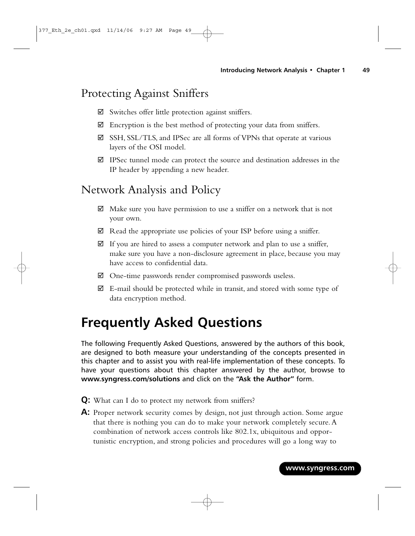### Protecting Against Sniffers

- $\boxtimes$  Switches offer little protection against sniffers.
- $\boxtimes$  Encryption is the best method of protecting your data from sniffers.
- $\boxtimes$  SSH, SSL/TLS, and IPSec are all forms of VPNs that operate at various layers of the OSI model.
- $\boxtimes$  IPSec tunnel mode can protect the source and destination addresses in the IP header by appending a new header.

### Network Analysis and Policy

- $\boxtimes$  Make sure you have permission to use a sniffer on a network that is not your own.
- $\boxtimes$  Read the appropriate use policies of your ISP before using a sniffer.
- $\boxtimes$  If you are hired to assess a computer network and plan to use a sniffer, make sure you have a non-disclosure agreement in place, because you may have access to confidential data.
- One-time passwords render compromised passwords useless.
- $\boxtimes$  E-mail should be protected while in transit, and stored with some type of data encryption method.

## **Frequently Asked Questions**

The following Frequently Asked Questions, answered by the authors of this book, are designed to both measure your understanding of the concepts presented in this chapter and to assist you with real-life implementation of these concepts. To have your questions about this chapter answered by the author, browse to **www.syngress.com/solutions** and click on the **"Ask the Author"** form.

- **Q:** What can I do to protect my network from sniffers?
- **A:** Proper network security comes by design, not just through action. Some argue that there is nothing you can do to make your network completely secure. A combination of network access controls like 802.1x, ubiquitous and opportunistic encryption, and strong policies and procedures will go a long way to